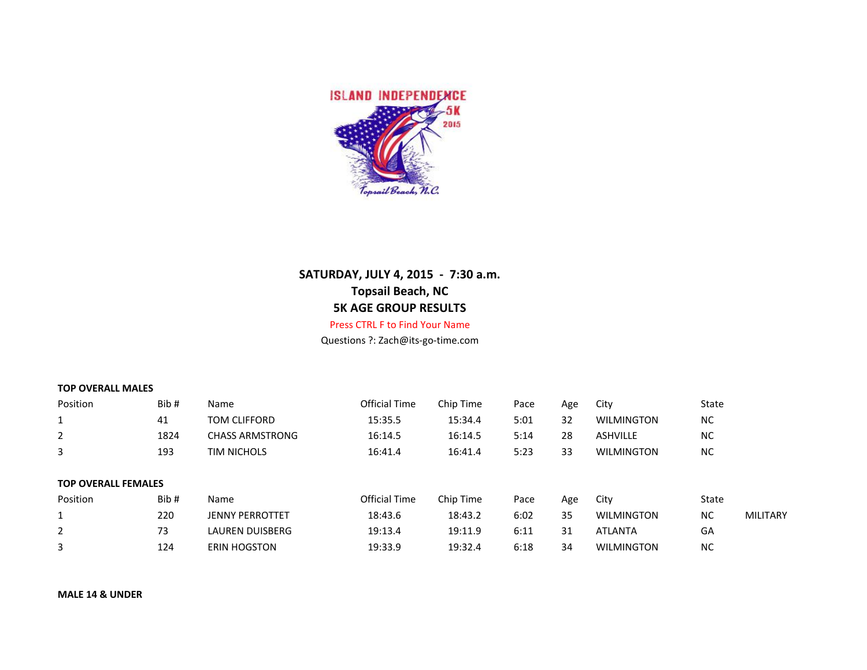

## **SATURDAY, JULY 4, 2015 - 7:30 a.m. Topsail Beach, NC 5K AGE GROUP RESULTS**

## Press CTRL F to Find Your Name

Questions ?: Zach@its-go-time.com

## **TOP OVERALL MALES**

| Position                   | Bib# | Name                   | Official Time | Chip Time | Pace | Age | City              | State     |                 |
|----------------------------|------|------------------------|---------------|-----------|------|-----|-------------------|-----------|-----------------|
|                            | 41   | TOM CLIFFORD           | 15:35.5       | 15:34.4   | 5:01 | 32  | <b>WILMINGTON</b> | <b>NC</b> |                 |
| $\overline{2}$             | 1824 | <b>CHASS ARMSTRONG</b> | 16:14.5       | 16:14.5   | 5:14 | 28  | <b>ASHVILLE</b>   | <b>NC</b> |                 |
| 3                          | 193  | TIM NICHOLS            | 16:41.4       | 16:41.4   | 5:23 | 33  | <b>WILMINGTON</b> | <b>NC</b> |                 |
| <b>TOP OVERALL FEMALES</b> |      |                        |               |           |      |     |                   |           |                 |
| Position                   | Bib# | Name                   | Official Time | Chip Time | Pace | Age | City              | State     |                 |
|                            | 220  | <b>JENNY PERROTTET</b> | 18:43.6       | 18:43.2   | 6:02 | 35  | <b>WILMINGTON</b> | <b>NC</b> | <b>MILITARY</b> |
| $\overline{2}$             | 73   | LAUREN DUISBERG        | 19:13.4       | 19:11.9   | 6:11 | 31  | <b>ATLANTA</b>    | GA        |                 |
| 3                          | 124  | <b>ERIN HOGSTON</b>    | 19:33.9       | 19:32.4   | 6:18 | 34  | <b>WILMINGTON</b> | <b>NC</b> |                 |

**MALE 14 & UNDER**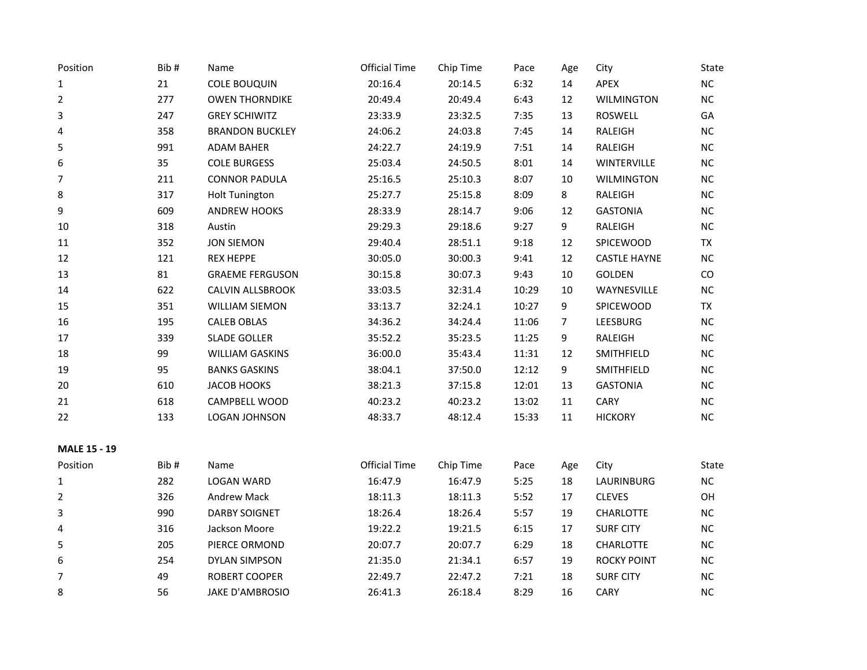| Position | Bib# | Name                    | <b>Official Time</b> | Chip Time | Pace  | Age | City                | State     |
|----------|------|-------------------------|----------------------|-----------|-------|-----|---------------------|-----------|
| 1        | 21   | <b>COLE BOUQUIN</b>     | 20:16.4              | 20:14.5   | 6:32  | 14  | <b>APEX</b>         | <b>NC</b> |
| 2        | 277  | <b>OWEN THORNDIKE</b>   | 20:49.4              | 20:49.4   | 6:43  | 12  | <b>WILMINGTON</b>   | <b>NC</b> |
| 3        | 247  | <b>GREY SCHIWITZ</b>    | 23:33.9              | 23:32.5   | 7:35  | 13  | <b>ROSWELL</b>      | GA        |
| 4        | 358  | <b>BRANDON BUCKLEY</b>  | 24:06.2              | 24:03.8   | 7:45  | 14  | RALEIGH             | <b>NC</b> |
| 5        | 991  | <b>ADAM BAHER</b>       | 24:22.7              | 24:19.9   | 7:51  | 14  | RALEIGH             | <b>NC</b> |
| 6        | 35   | <b>COLE BURGESS</b>     | 25:03.4              | 24:50.5   | 8:01  | 14  | WINTERVILLE         | <b>NC</b> |
| 7        | 211  | <b>CONNOR PADULA</b>    | 25:16.5              | 25:10.3   | 8:07  | 10  | <b>WILMINGTON</b>   | <b>NC</b> |
| 8        | 317  | <b>Holt Tunington</b>   | 25:27.7              | 25:15.8   | 8:09  | 8   | RALEIGH             | <b>NC</b> |
| 9        | 609  | <b>ANDREW HOOKS</b>     | 28:33.9              | 28:14.7   | 9:06  | 12  | <b>GASTONIA</b>     | <b>NC</b> |
| 10       | 318  | Austin                  | 29:29.3              | 29:18.6   | 9:27  | 9   | RALEIGH             | <b>NC</b> |
| 11       | 352  | <b>JON SIEMON</b>       | 29:40.4              | 28:51.1   | 9:18  | 12  | <b>SPICEWOOD</b>    | <b>TX</b> |
| 12       | 121  | <b>REX HEPPE</b>        | 30:05.0              | 30:00.3   | 9:41  | 12  | <b>CASTLE HAYNE</b> | <b>NC</b> |
| 13       | 81   | <b>GRAEME FERGUSON</b>  | 30:15.8              | 30:07.3   | 9:43  | 10  | <b>GOLDEN</b>       | CO.       |
| 14       | 622  | <b>CALVIN ALLSBROOK</b> | 33:03.5              | 32:31.4   | 10:29 | 10  | WAYNESVILLE         | <b>NC</b> |
| 15       | 351  | <b>WILLIAM SIEMON</b>   | 33:13.7              | 32:24.1   | 10:27 | 9   | SPICEWOOD           | <b>TX</b> |
| 16       | 195  | <b>CALEB OBLAS</b>      | 34:36.2              | 34:24.4   | 11:06 | 7   | LEESBURG            | <b>NC</b> |
| 17       | 339  | <b>SLADE GOLLER</b>     | 35:52.2              | 35:23.5   | 11:25 | 9   | RALEIGH             | <b>NC</b> |
| 18       | 99   | <b>WILLIAM GASKINS</b>  | 36:00.0              | 35:43.4   | 11:31 | 12  | SMITHFIELD          | <b>NC</b> |
| 19       | 95   | <b>BANKS GASKINS</b>    | 38:04.1              | 37:50.0   | 12:12 | 9   | SMITHFIELD          | <b>NC</b> |
| 20       | 610  | <b>JACOB HOOKS</b>      | 38:21.3              | 37:15.8   | 12:01 | 13  | <b>GASTONIA</b>     | <b>NC</b> |
| 21       | 618  | CAMPBELL WOOD           | 40:23.2              | 40:23.2   | 13:02 | 11  | <b>CARY</b>         | <b>NC</b> |
| 22       | 133  | <b>LOGAN JOHNSON</b>    | 48:33.7              | 48:12.4   | 15:33 | 11  | <b>HICKORY</b>      | <b>NC</b> |
|          |      |                         |                      |           |       |     |                     |           |

| <b>MALE 15 - 19</b> |  |
|---------------------|--|
|                     |  |

| Position | Bib# | Name                 | <b>Official Time</b> | Chip Time | Pace | Age | City               | <b>State</b> |
|----------|------|----------------------|----------------------|-----------|------|-----|--------------------|--------------|
| 1        | 282  | LOGAN WARD           | 16:47.9              | 16:47.9   | 5:25 | 18  | <b>LAURINBURG</b>  | NC           |
| 2        | 326  | <b>Andrew Mack</b>   | 18:11.3              | 18:11.3   | 5:52 | 17  | <b>CLEVES</b>      | ΟH           |
| 3        | 990  | <b>DARBY SOIGNET</b> | 18:26.4              | 18:26.4   | 5:57 | 19  | <b>CHARLOTTE</b>   | NC           |
| 4        | 316  | Jackson Moore        | 19:22.2              | 19:21.5   | 6:15 | 17  | <b>SURF CITY</b>   | NC           |
| 5        | 205  | PIERCE ORMOND        | 20:07.7              | 20:07.7   | 6:29 | 18  | <b>CHARLOTTE</b>   | NC           |
| 6        | 254  | <b>DYLAN SIMPSON</b> | 21:35.0              | 21:34.1   | 6:57 | 19  | <b>ROCKY POINT</b> | NC           |
| 7        | 49   | <b>ROBERT COOPER</b> | 22:49.7              | 22:47.2   | 7:21 | 18  | <b>SURF CITY</b>   | NC           |
| 8        | 56   | JAKE D'AMBROSIO      | 26:41.3              | 26:18.4   | 8:29 | 16  | <b>CARY</b>        | NC           |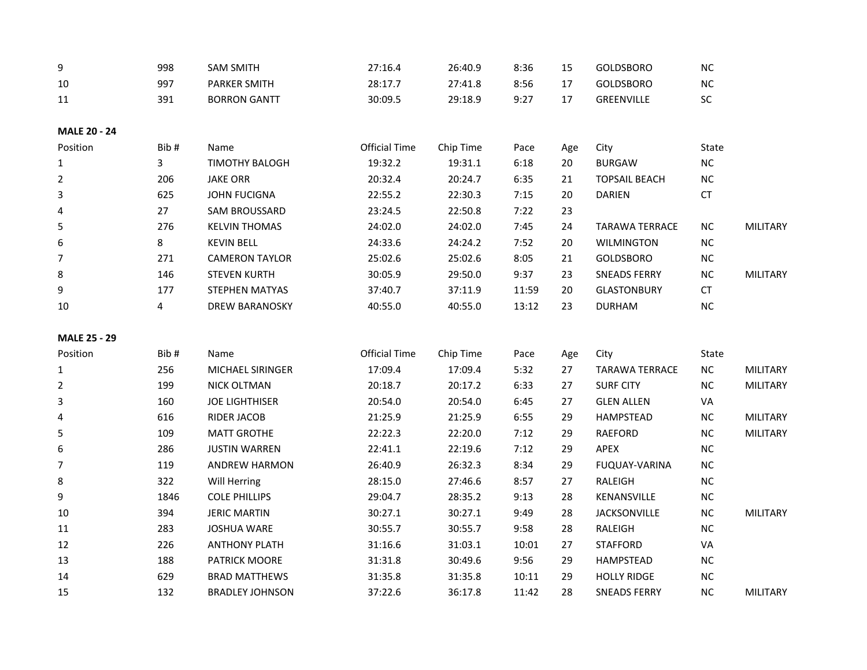| 9                   | 998  | <b>SAM SMITH</b>       | 27:16.4              | 26:40.9   | 8:36  | 15  | <b>GOLDSBORO</b>      | NC         |                 |
|---------------------|------|------------------------|----------------------|-----------|-------|-----|-----------------------|------------|-----------------|
| 10                  | 997  | <b>PARKER SMITH</b>    | 28:17.7              | 27:41.8   | 8:56  | 17  | <b>GOLDSBORO</b>      | $\sf NC$   |                 |
| 11                  | 391  | <b>BORRON GANTT</b>    | 30:09.5              | 29:18.9   | 9:27  | 17  | GREENVILLE            | SC         |                 |
| <b>MALE 20 - 24</b> |      |                        |                      |           |       |     |                       |            |                 |
| Position            | Bib# | Name                   | <b>Official Time</b> | Chip Time | Pace  | Age | City                  | State      |                 |
| 1                   | 3    | <b>TIMOTHY BALOGH</b>  | 19:32.2              | 19:31.1   | 6:18  | 20  | <b>BURGAW</b>         | $NC$       |                 |
| $\overline{2}$      | 206  | <b>JAKE ORR</b>        | 20:32.4              | 20:24.7   | 6:35  | 21  | <b>TOPSAIL BEACH</b>  | ${\sf NC}$ |                 |
| 3                   | 625  | <b>JOHN FUCIGNA</b>    | 22:55.2              | 22:30.3   | 7:15  | 20  | <b>DARIEN</b>         | CT         |                 |
| 4                   | 27   | <b>SAM BROUSSARD</b>   | 23:24.5              | 22:50.8   | 7:22  | 23  |                       |            |                 |
| 5                   | 276  | <b>KELVIN THOMAS</b>   | 24:02.0              | 24:02.0   | 7:45  | 24  | <b>TARAWA TERRACE</b> | <b>NC</b>  | <b>MILITARY</b> |
| 6                   | 8    | <b>KEVIN BELL</b>      | 24:33.6              | 24:24.2   | 7:52  | 20  | <b>WILMINGTON</b>     | NC         |                 |
| $\overline{7}$      | 271  | <b>CAMERON TAYLOR</b>  | 25:02.6              | 25:02.6   | 8:05  | 21  | <b>GOLDSBORO</b>      | NC         |                 |
| 8                   | 146  | <b>STEVEN KURTH</b>    | 30:05.9              | 29:50.0   | 9:37  | 23  | <b>SNEADS FERRY</b>   | ${\sf NC}$ | <b>MILITARY</b> |
| 9                   | 177  | <b>STEPHEN MATYAS</b>  | 37:40.7              | 37:11.9   | 11:59 | 20  | <b>GLASTONBURY</b>    | <b>CT</b>  |                 |
| 10                  | 4    | <b>DREW BARANOSKY</b>  | 40:55.0              | 40:55.0   | 13:12 | 23  | <b>DURHAM</b>         | $NC$       |                 |
| <b>MALE 25 - 29</b> |      |                        |                      |           |       |     |                       |            |                 |
| Position            | Bib# | Name                   | Official Time        | Chip Time | Pace  | Age | City                  | State      |                 |
| 1                   | 256  | MICHAEL SIRINGER       | 17:09.4              | 17:09.4   | 5:32  | 27  | <b>TARAWA TERRACE</b> | NC         | <b>MILITARY</b> |
| $\overline{2}$      | 199  | <b>NICK OLTMAN</b>     | 20:18.7              | 20:17.2   | 6:33  | 27  | <b>SURF CITY</b>      | NC         | MILITARY        |
| 3                   | 160  | <b>JOE LIGHTHISER</b>  | 20:54.0              | 20:54.0   | 6:45  | 27  | <b>GLEN ALLEN</b>     | VA         |                 |
| 4                   | 616  | <b>RIDER JACOB</b>     | 21:25.9              | 21:25.9   | 6:55  | 29  | HAMPSTEAD             | ${\sf NC}$ | <b>MILITARY</b> |
| 5                   | 109  | <b>MATT GROTHE</b>     | 22:22.3              | 22:20.0   | 7:12  | 29  | RAEFORD               | NC         | <b>MILITARY</b> |
| 6                   | 286  | <b>JUSTIN WARREN</b>   | 22:41.1              | 22:19.6   | 7:12  | 29  | APEX                  | $NC$       |                 |
| 7                   | 119  | <b>ANDREW HARMON</b>   | 26:40.9              | 26:32.3   | 8:34  | 29  | FUQUAY-VARINA         | ${\sf NC}$ |                 |
| 8                   | 322  | Will Herring           | 28:15.0              | 27:46.6   | 8:57  | 27  | RALEIGH               | NC         |                 |
| 9                   | 1846 | <b>COLE PHILLIPS</b>   | 29:04.7              | 28:35.2   | 9:13  | 28  | KENANSVILLE           | ${\sf NC}$ |                 |
| 10                  | 394  | <b>JERIC MARTIN</b>    | 30:27.1              | 30:27.1   | 9:49  | 28  | JACKSONVILLE          | $NC$       | MILITARY        |
| 11                  | 283  | <b>JOSHUA WARE</b>     | 30:55.7              | 30:55.7   | 9:58  | 28  | RALEIGH               | $NC$       |                 |
| 12                  | 226  | <b>ANTHONY PLATH</b>   | 31:16.6              | 31:03.1   | 10:01 | 27  | <b>STAFFORD</b>       | VA         |                 |
| 13                  | 188  | PATRICK MOORE          | 31:31.8              | 30:49.6   | 9:56  | 29  | HAMPSTEAD             | $NC$       |                 |
| 14                  | 629  | <b>BRAD MATTHEWS</b>   | 31:35.8              | 31:35.8   | 10:11 | 29  | <b>HOLLY RIDGE</b>    | NC         |                 |
| 15                  | 132  | <b>BRADLEY JOHNSON</b> | 37:22.6              | 36:17.8   | 11:42 | 28  | <b>SNEADS FERRY</b>   | NC         | <b>MILITARY</b> |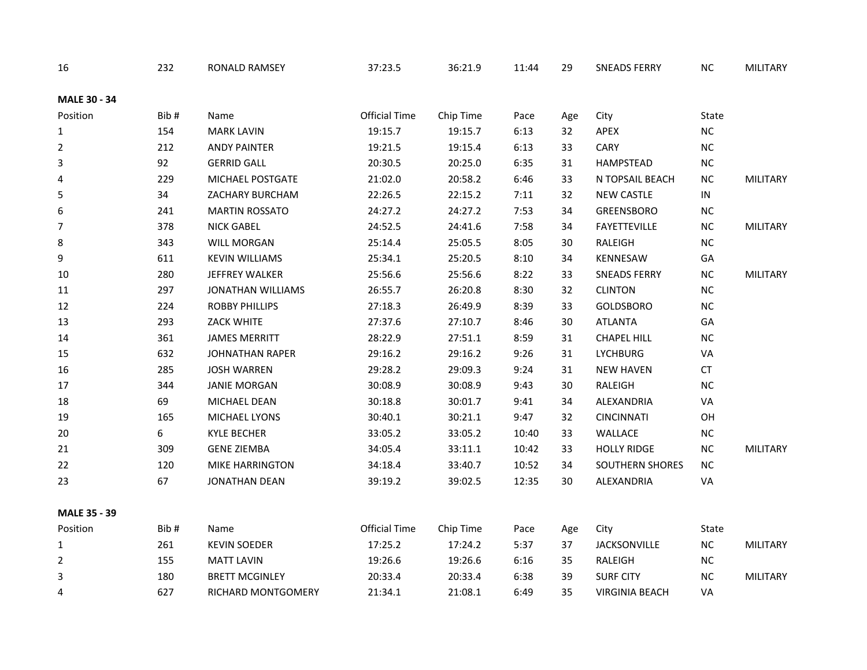| 16                  | 232  | RONALD RAMSEY            | 37:23.5              | 36:21.9   | 11:44 | 29  | <b>SNEADS FERRY</b>    | $\sf NC$   | <b>MILITARY</b> |
|---------------------|------|--------------------------|----------------------|-----------|-------|-----|------------------------|------------|-----------------|
| MALE 30 - 34        |      |                          |                      |           |       |     |                        |            |                 |
| Position            | Bib# | Name                     | <b>Official Time</b> | Chip Time | Pace  | Age | City                   | State      |                 |
| 1                   | 154  | <b>MARK LAVIN</b>        | 19:15.7              | 19:15.7   | 6:13  | 32  | APEX                   | $NC$       |                 |
| $\overline{2}$      | 212  | <b>ANDY PAINTER</b>      | 19:21.5              | 19:15.4   | 6:13  | 33  | <b>CARY</b>            | $\sf NC$   |                 |
| 3                   | 92   | <b>GERRID GALL</b>       | 20:30.5              | 20:25.0   | 6:35  | 31  | <b>HAMPSTEAD</b>       | $NC$       |                 |
| 4                   | 229  | MICHAEL POSTGATE         | 21:02.0              | 20:58.2   | 6:46  | 33  | N TOPSAIL BEACH        | $NC$       | <b>MILITARY</b> |
| 5                   | 34   | ZACHARY BURCHAM          | 22:26.5              | 22:15.2   | 7:11  | 32  | <b>NEW CASTLE</b>      | ${\sf IN}$ |                 |
| 6                   | 241  | <b>MARTIN ROSSATO</b>    | 24:27.2              | 24:27.2   | 7:53  | 34  | GREENSBORO             | $NC$       |                 |
| 7                   | 378  | <b>NICK GABEL</b>        | 24:52.5              | 24:41.6   | 7:58  | 34  | <b>FAYETTEVILLE</b>    | $NC$       | MILITARY        |
| 8                   | 343  | <b>WILL MORGAN</b>       | 25:14.4              | 25:05.5   | 8:05  | 30  | RALEIGH                | $NC$       |                 |
| 9                   | 611  | <b>KEVIN WILLIAMS</b>    | 25:34.1              | 25:20.5   | 8:10  | 34  | KENNESAW               | GA         |                 |
| $10\,$              | 280  | JEFFREY WALKER           | 25:56.6              | 25:56.6   | 8:22  | 33  | <b>SNEADS FERRY</b>    | ${\sf NC}$ | <b>MILITARY</b> |
| 11                  | 297  | <b>JONATHAN WILLIAMS</b> | 26:55.7              | 26:20.8   | 8:30  | 32  | <b>CLINTON</b>         | $NC$       |                 |
| 12                  | 224  | <b>ROBBY PHILLIPS</b>    | 27:18.3              | 26:49.9   | 8:39  | 33  | GOLDSBORO              | $\sf NC$   |                 |
| 13                  | 293  | ZACK WHITE               | 27:37.6              | 27:10.7   | 8:46  | 30  | <b>ATLANTA</b>         | GA         |                 |
| 14                  | 361  | <b>JAMES MERRITT</b>     | 28:22.9              | 27:51.1   | 8:59  | 31  | <b>CHAPEL HILL</b>     | NC         |                 |
| 15                  | 632  | <b>JOHNATHAN RAPER</b>   | 29:16.2              | 29:16.2   | 9:26  | 31  | <b>LYCHBURG</b>        | VA         |                 |
| 16                  | 285  | <b>JOSH WARREN</b>       | 29:28.2              | 29:09.3   | 9:24  | 31  | <b>NEW HAVEN</b>       | <b>CT</b>  |                 |
| 17                  | 344  | <b>JANIE MORGAN</b>      | 30:08.9              | 30:08.9   | 9:43  | 30  | RALEIGH                | $NC$       |                 |
| 18                  | 69   | MICHAEL DEAN             | 30:18.8              | 30:01.7   | 9:41  | 34  | ALEXANDRIA             | VA         |                 |
| 19                  | 165  | MICHAEL LYONS            | 30:40.1              | 30:21.1   | 9:47  | 32  | <b>CINCINNATI</b>      | OH         |                 |
| 20                  | 6    | <b>KYLE BECHER</b>       | 33:05.2              | 33:05.2   | 10:40 | 33  | WALLACE                | $NC$       |                 |
| 21                  | 309  | <b>GENE ZIEMBA</b>       | 34:05.4              | 33:11.1   | 10:42 | 33  | <b>HOLLY RIDGE</b>     | ${\sf NC}$ | MILITARY        |
| 22                  | 120  | <b>MIKE HARRINGTON</b>   | 34:18.4              | 33:40.7   | 10:52 | 34  | <b>SOUTHERN SHORES</b> | $\sf NC$   |                 |
| 23                  | 67   | <b>JONATHAN DEAN</b>     | 39:19.2              | 39:02.5   | 12:35 | 30  | ALEXANDRIA             | VA         |                 |
| <b>MALE 35 - 39</b> |      |                          |                      |           |       |     |                        |            |                 |
| Position            | Bib# | Name                     | <b>Official Time</b> | Chip Time | Pace  | Age | City                   | State      |                 |
| $\mathbf{1}$        | 261  | <b>KEVIN SOEDER</b>      | 17:25.2              | 17:24.2   | 5:37  | 37  | <b>JACKSONVILLE</b>    | $\sf NC$   | MILITARY        |
| $\overline{2}$      | 155  | <b>MATT LAVIN</b>        | 19:26.6              | 19:26.6   | 6:16  | 35  | RALEIGH                | $\sf NC$   |                 |
| 3                   | 180  | <b>BRETT MCGINLEY</b>    | 20:33.4              | 20:33.4   | 6:38  | 39  | <b>SURF CITY</b>       | $NC$       | <b>MILITARY</b> |
| 4                   | 627  | RICHARD MONTGOMERY       | 21:34.1              | 21:08.1   | 6:49  | 35  | <b>VIRGINIA BEACH</b>  | VA         |                 |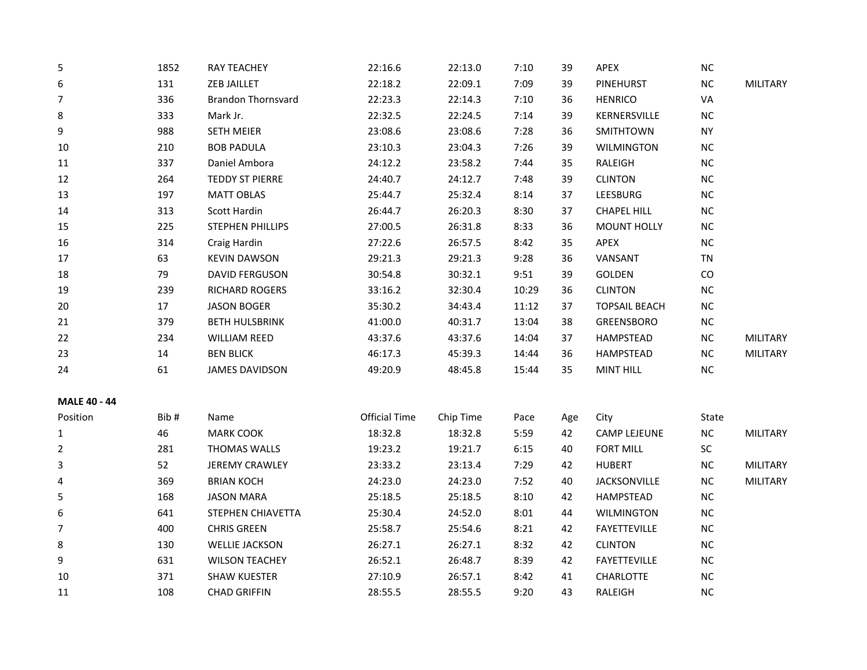| 5                   | 1852 | <b>RAY TEACHEY</b>        | 22:16.6              | 22:13.0   | 7:10  | 39  | APEX                 | $NC$      |                 |
|---------------------|------|---------------------------|----------------------|-----------|-------|-----|----------------------|-----------|-----------------|
| 6                   | 131  | ZEB JAILLET               | 22:18.2              | 22:09.1   | 7:09  | 39  | PINEHURST            | $\sf NC$  | MILITARY        |
| $\overline{7}$      | 336  | <b>Brandon Thornsvard</b> | 22:23.3              | 22:14.3   | 7:10  | 36  | <b>HENRICO</b>       | VA        |                 |
| 8                   | 333  | Mark Jr.                  | 22:32.5              | 22:24.5   | 7:14  | 39  | KERNERSVILLE         | NC        |                 |
| 9                   | 988  | <b>SETH MEIER</b>         | 23:08.6              | 23:08.6   | 7:28  | 36  | SMITHTOWN            | <b>NY</b> |                 |
| 10                  | 210  | <b>BOB PADULA</b>         | 23:10.3              | 23:04.3   | 7:26  | 39  | WILMINGTON           | $\sf NC$  |                 |
| 11                  | 337  | Daniel Ambora             | 24:12.2              | 23:58.2   | 7:44  | 35  | RALEIGH              | $NC$      |                 |
| 12                  | 264  | <b>TEDDY ST PIERRE</b>    | 24:40.7              | 24:12.7   | 7:48  | 39  | <b>CLINTON</b>       | $NC$      |                 |
| 13                  | 197  | <b>MATT OBLAS</b>         | 25:44.7              | 25:32.4   | 8:14  | 37  | LEESBURG             | $NC$      |                 |
| 14                  | 313  | Scott Hardin              | 26:44.7              | 26:20.3   | 8:30  | 37  | <b>CHAPEL HILL</b>   | $NC$      |                 |
| 15                  | 225  | STEPHEN PHILLIPS          | 27:00.5              | 26:31.8   | 8:33  | 36  | <b>MOUNT HOLLY</b>   | $\sf NC$  |                 |
| 16                  | 314  | Craig Hardin              | 27:22.6              | 26:57.5   | 8:42  | 35  | APEX                 | NC        |                 |
| 17                  | 63   | <b>KEVIN DAWSON</b>       | 29:21.3              | 29:21.3   | 9:28  | 36  | VANSANT              | TN        |                 |
| 18                  | 79   | <b>DAVID FERGUSON</b>     | 30:54.8              | 30:32.1   | 9:51  | 39  | <b>GOLDEN</b>        | CO        |                 |
| 19                  | 239  | RICHARD ROGERS            | 33:16.2              | 32:30.4   | 10:29 | 36  | <b>CLINTON</b>       | $NC$      |                 |
| 20                  | 17   | <b>JASON BOGER</b>        | 35:30.2              | 34:43.4   | 11:12 | 37  | <b>TOPSAIL BEACH</b> | $NC$      |                 |
| 21                  | 379  | <b>BETH HULSBRINK</b>     | 41:00.0              | 40:31.7   | 13:04 | 38  | <b>GREENSBORO</b>    | $NC$      |                 |
| 22                  | 234  | <b>WILLIAM REED</b>       | 43:37.6              | 43:37.6   | 14:04 | 37  | <b>HAMPSTEAD</b>     | NC        | <b>MILITARY</b> |
| 23                  | 14   | <b>BEN BLICK</b>          | 46:17.3              | 45:39.3   | 14:44 | 36  | HAMPSTEAD            | $NC$      | MILITARY        |
| 24                  | 61   | <b>JAMES DAVIDSON</b>     | 49:20.9              | 48:45.8   | 15:44 | 35  | <b>MINT HILL</b>     | $NC$      |                 |
| <b>MALE 40 - 44</b> |      |                           |                      |           |       |     |                      |           |                 |
| Position            | Bib# | Name                      | <b>Official Time</b> | Chip Time | Pace  | Age | City                 | State     |                 |
| $\mathbf 1$         | 46   | <b>MARK COOK</b>          | 18:32.8              | 18:32.8   | 5:59  | 42  | <b>CAMP LEJEUNE</b>  | $\sf NC$  | MILITARY        |
| $\overline{2}$      | 281  | THOMAS WALLS              | 19:23.2              | 19:21.7   | 6:15  | 40  | <b>FORT MILL</b>     | SC        |                 |
| 3                   | 52   | <b>JEREMY CRAWLEY</b>     | 23:33.2              | 23:13.4   | 7:29  | 42  | <b>HUBERT</b>        | $\sf NC$  | MILITARY        |
| 4                   | 369  | <b>BRIAN KOCH</b>         | 24:23.0              | 24:23.0   | 7:52  | 40  | <b>JACKSONVILLE</b>  | $NC$      | <b>MILITARY</b> |
| 5                   | 168  | <b>JASON MARA</b>         | 25:18.5              | 25:18.5   | 8:10  | 42  | HAMPSTEAD            | $NC$      |                 |
| 6                   | 641  | STEPHEN CHIAVETTA         | 25:30.4              | 24:52.0   | 8:01  | 44  | <b>WILMINGTON</b>    | $NC$      |                 |
| $\overline{7}$      | 400  | <b>CHRIS GREEN</b>        | 25:58.7              | 25:54.6   | 8:21  | 42  | <b>FAYETTEVILLE</b>  | $NC$      |                 |
| 8                   | 130  | <b>WELLIE JACKSON</b>     | 26:27.1              | 26:27.1   | 8:32  | 42  | <b>CLINTON</b>       | $\sf NC$  |                 |
| 9                   | 631  | <b>WILSON TEACHEY</b>     | 26:52.1              | 26:48.7   | 8:39  | 42  | <b>FAYETTEVILLE</b>  | $NC$      |                 |
| 10                  | 371  | <b>SHAW KUESTER</b>       | 27:10.9              | 26:57.1   | 8:42  | 41  | <b>CHARLOTTE</b>     | $\sf NC$  |                 |
| 11                  | 108  | <b>CHAD GRIFFIN</b>       | 28:55.5              | 28:55.5   | 9:20  | 43  | RALEIGH              | NC        |                 |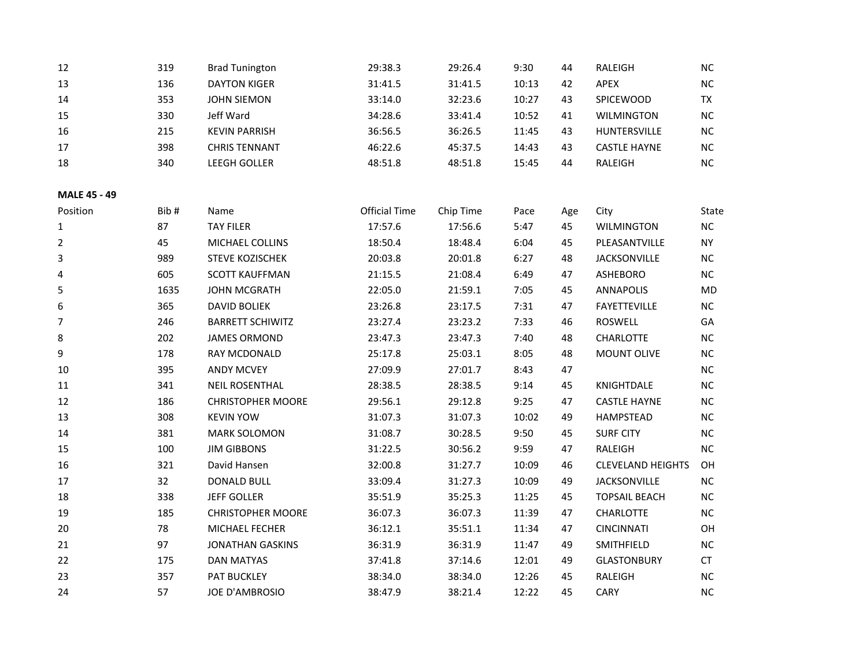| 12                  | 319  | <b>Brad Tunington</b>    | 29:38.3              | 29:26.4   | 9:30  | 44  | RALEIGH                  | <b>NC</b> |
|---------------------|------|--------------------------|----------------------|-----------|-------|-----|--------------------------|-----------|
| 13                  | 136  | <b>DAYTON KIGER</b>      | 31:41.5              | 31:41.5   | 10:13 | 42  | APEX                     | NC        |
| 14                  | 353  | <b>JOHN SIEMON</b>       | 33:14.0              | 32:23.6   | 10:27 | 43  | SPICEWOOD                | TX        |
| 15                  | 330  | Jeff Ward                | 34:28.6              | 33:41.4   | 10:52 | 41  | <b>WILMINGTON</b>        | NC.       |
| 16                  | 215  | <b>KEVIN PARRISH</b>     | 36:56.5              | 36:26.5   | 11:45 | 43  | HUNTERSVILLE             | NC        |
| 17                  | 398  | <b>CHRIS TENNANT</b>     | 46:22.6              | 45:37.5   | 14:43 | 43  | <b>CASTLE HAYNE</b>      | NC        |
| 18                  | 340  | LEEGH GOLLER             | 48:51.8              | 48:51.8   | 15:45 | 44  | RALEIGH                  | NC.       |
| <b>MALE 45 - 49</b> |      |                          |                      |           |       |     |                          |           |
| Position            | Bib# | Name                     | <b>Official Time</b> | Chip Time | Pace  | Age | City                     | State     |
| 1                   | 87   | <b>TAY FILER</b>         | 17:57.6              | 17:56.6   | 5:47  | 45  | <b>WILMINGTON</b>        | NC        |
| $\overline{2}$      | 45   | MICHAEL COLLINS          | 18:50.4              | 18:48.4   | 6:04  | 45  | PLEASANTVILLE            | <b>NY</b> |
| 3                   | 989  | STEVE KOZISCHEK          | 20:03.8              | 20:01.8   | 6:27  | 48  | JACKSONVILLE             | NC        |
| 4                   | 605  | <b>SCOTT KAUFFMAN</b>    | 21:15.5              | 21:08.4   | 6:49  | 47  | <b>ASHEBORO</b>          | <b>NC</b> |
| 5                   | 1635 | <b>JOHN MCGRATH</b>      | 22:05.0              | 21:59.1   | 7:05  | 45  | <b>ANNAPOLIS</b>         | <b>MD</b> |
| 6                   | 365  | <b>DAVID BOLIEK</b>      | 23:26.8              | 23:17.5   | 7:31  | 47  | <b>FAYETTEVILLE</b>      | <b>NC</b> |
| $\overline{7}$      | 246  | <b>BARRETT SCHIWITZ</b>  | 23:27.4              | 23:23.2   | 7:33  | 46  | <b>ROSWELL</b>           | GA        |
| 8                   | 202  | <b>JAMES ORMOND</b>      | 23:47.3              | 23:47.3   | 7:40  | 48  | CHARLOTTE                | NC.       |
| 9                   | 178  | RAY MCDONALD             | 25:17.8              | 25:03.1   | 8:05  | 48  | MOUNT OLIVE              | <b>NC</b> |
| 10                  | 395  | <b>ANDY MCVEY</b>        | 27:09.9              | 27:01.7   | 8:43  | 47  |                          | <b>NC</b> |
| 11                  | 341  | <b>NEIL ROSENTHAL</b>    | 28:38.5              | 28:38.5   | 9:14  | 45  | KNIGHTDALE               | <b>NC</b> |
| 12                  | 186  | <b>CHRISTOPHER MOORE</b> | 29:56.1              | 29:12.8   | 9:25  | 47  | <b>CASTLE HAYNE</b>      | NC        |
| 13                  | 308  | <b>KEVIN YOW</b>         | 31:07.3              | 31:07.3   | 10:02 | 49  | <b>HAMPSTEAD</b>         | <b>NC</b> |
| 14                  | 381  | <b>MARK SOLOMON</b>      | 31:08.7              | 30:28.5   | 9:50  | 45  | <b>SURF CITY</b>         | NC        |
| 15                  | 100  | <b>JIM GIBBONS</b>       | 31:22.5              | 30:56.2   | 9:59  | 47  | RALEIGH                  | <b>NC</b> |
| 16                  | 321  | David Hansen             | 32:00.8              | 31:27.7   | 10:09 | 46  | <b>CLEVELAND HEIGHTS</b> | <b>OH</b> |
| 17                  | 32   | <b>DONALD BULL</b>       | 33:09.4              | 31:27.3   | 10:09 | 49  | JACKSONVILLE             | NC        |
| 18                  | 338  | <b>JEFF GOLLER</b>       | 35:51.9              | 35:25.3   | 11:25 | 45  | <b>TOPSAIL BEACH</b>     | <b>NC</b> |
| 19                  | 185  | <b>CHRISTOPHER MOORE</b> | 36:07.3              | 36:07.3   | 11:39 | 47  | CHARLOTTE                | NC        |
| 20                  | 78   | MICHAEL FECHER           | 36:12.1              | 35:51.1   | 11:34 | 47  | <b>CINCINNATI</b>        | OН        |
| 21                  | 97   | <b>JONATHAN GASKINS</b>  | 36:31.9              | 36:31.9   | 11:47 | 49  | SMITHFIELD               | NC        |
| 22                  | 175  | <b>DAN MATYAS</b>        | 37:41.8              | 37:14.6   | 12:01 | 49  | <b>GLASTONBURY</b>       | CT        |
| 23                  | 357  | PAT BUCKLEY              | 38:34.0              | 38:34.0   | 12:26 | 45  | RALEIGH                  | <b>NC</b> |
| 24                  | 57   | <b>JOE D'AMBROSIO</b>    | 38:47.9              | 38:21.4   | 12:22 | 45  | <b>CARY</b>              | NC.       |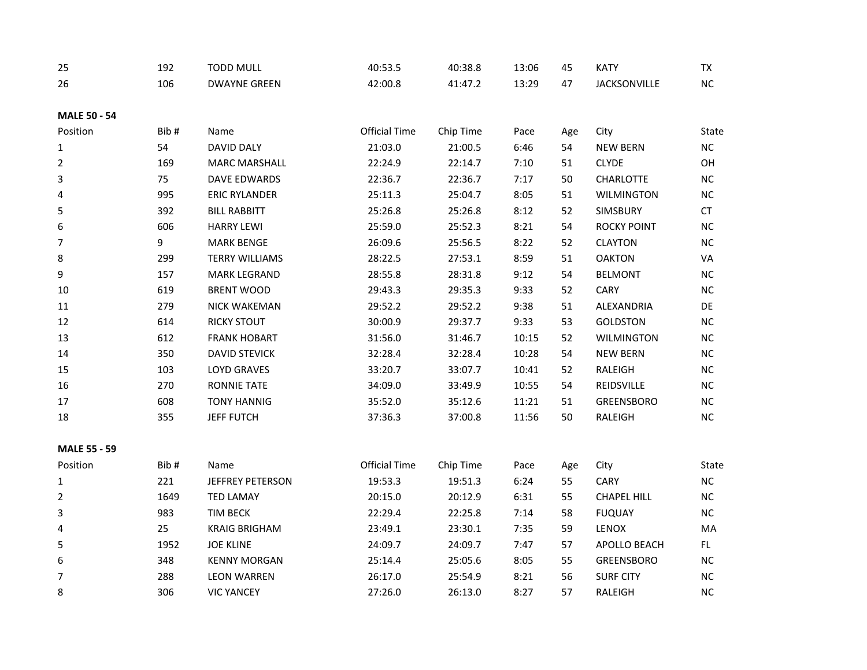| 25                  | 192  | <b>TODD MULL</b>      | 40:53.5       | 40:38.8   | 13:06 | 45  | <b>KATY</b>        | <b>TX</b>  |
|---------------------|------|-----------------------|---------------|-----------|-------|-----|--------------------|------------|
| 26                  | 106  | <b>DWAYNE GREEN</b>   | 42:00.8       | 41:47.2   | 13:29 | 47  | JACKSONVILLE       | ${\sf NC}$ |
| <b>MALE 50 - 54</b> |      |                       |               |           |       |     |                    |            |
| Position            | Bib# | Name                  | Official Time | Chip Time | Pace  | Age | City               | State      |
| $1\,$               | 54   | <b>DAVID DALY</b>     | 21:03.0       | 21:00.5   | 6:46  | 54  | <b>NEW BERN</b>    | NC         |
| $\overline{2}$      | 169  | <b>MARC MARSHALL</b>  | 22:24.9       | 22:14.7   | 7:10  | 51  | <b>CLYDE</b>       | OH         |
| 3                   | 75   | DAVE EDWARDS          | 22:36.7       | 22:36.7   | 7:17  | 50  | <b>CHARLOTTE</b>   | <b>NC</b>  |
| 4                   | 995  | <b>ERIC RYLANDER</b>  | 25:11.3       | 25:04.7   | 8:05  | 51  | <b>WILMINGTON</b>  | NC         |
| 5                   | 392  | <b>BILL RABBITT</b>   | 25:26.8       | 25:26.8   | 8:12  | 52  | SIMSBURY           | CT         |
| 6                   | 606  | <b>HARRY LEWI</b>     | 25:59.0       | 25:52.3   | 8:21  | 54  | <b>ROCKY POINT</b> | ${\sf NC}$ |
| $\overline{7}$      | 9    | <b>MARK BENGE</b>     | 26:09.6       | 25:56.5   | 8:22  | 52  | <b>CLAYTON</b>     | ${\sf NC}$ |
| 8                   | 299  | <b>TERRY WILLIAMS</b> | 28:22.5       | 27:53.1   | 8:59  | 51  | <b>OAKTON</b>      | VA         |
| 9                   | 157  | <b>MARK LEGRAND</b>   | 28:55.8       | 28:31.8   | 9:12  | 54  | <b>BELMONT</b>     | <b>NC</b>  |
| 10                  | 619  | <b>BRENT WOOD</b>     | 29:43.3       | 29:35.3   | 9:33  | 52  | <b>CARY</b>        | NC         |
| 11                  | 279  | <b>NICK WAKEMAN</b>   | 29:52.2       | 29:52.2   | 9:38  | 51  | ALEXANDRIA         | DE         |
| 12                  | 614  | <b>RICKY STOUT</b>    | 30:00.9       | 29:37.7   | 9:33  | 53  | <b>GOLDSTON</b>    | <b>NC</b>  |
| 13                  | 612  | <b>FRANK HOBART</b>   | 31:56.0       | 31:46.7   | 10:15 | 52  | <b>WILMINGTON</b>  | NC         |
| 14                  | 350  | <b>DAVID STEVICK</b>  | 32:28.4       | 32:28.4   | 10:28 | 54  | <b>NEW BERN</b>    | NC         |
| 15                  | 103  | <b>LOYD GRAVES</b>    | 33:20.7       | 33:07.7   | 10:41 | 52  | RALEIGH            | <b>NC</b>  |
| 16                  | 270  | <b>RONNIE TATE</b>    | 34:09.0       | 33:49.9   | 10:55 | 54  | REIDSVILLE         | <b>NC</b>  |
| 17                  | 608  | <b>TONY HANNIG</b>    | 35:52.0       | 35:12.6   | 11:21 | 51  | <b>GREENSBORO</b>  | NC         |
| 18                  | 355  | JEFF FUTCH            | 37:36.3       | 37:00.8   | 11:56 | 50  | RALEIGH            | NC         |
| <b>MALE 55 - 59</b> |      |                       |               |           |       |     |                    |            |
| Position            | Bib# | Name                  | Official Time | Chip Time | Pace  | Age | City               | State      |
| $\mathbf{1}$        | 221  | JEFFREY PETERSON      | 19:53.3       | 19:51.3   | 6:24  | 55  | CARY               | NC         |
| $\overline{2}$      | 1649 | <b>TED LAMAY</b>      | 20:15.0       | 20:12.9   | 6:31  | 55  | <b>CHAPEL HILL</b> | NC         |
| 3                   | 983  | <b>TIM BECK</b>       | 22:29.4       | 22:25.8   | 7:14  | 58  | <b>FUQUAY</b>      | <b>NC</b>  |
| 4                   | 25   | <b>KRAIG BRIGHAM</b>  | 23:49.1       | 23:30.1   | 7:35  | 59  | LENOX              | MA         |
| 5                   | 1952 | <b>JOE KLINE</b>      | 24:09.7       | 24:09.7   | 7:47  | 57  | APOLLO BEACH       | FL.        |
| 6                   | 348  | <b>KENNY MORGAN</b>   | 25:14.4       | 25:05.6   | 8:05  | 55  | GREENSBORO         | <b>NC</b>  |
| $\overline{7}$      | 288  | <b>LEON WARREN</b>    | 26:17.0       | 25:54.9   | 8:21  | 56  | <b>SURF CITY</b>   | NC         |
| 8                   | 306  | <b>VIC YANCEY</b>     | 27:26.0       | 26:13.0   | 8:27  | 57  | RALEIGH            | NC         |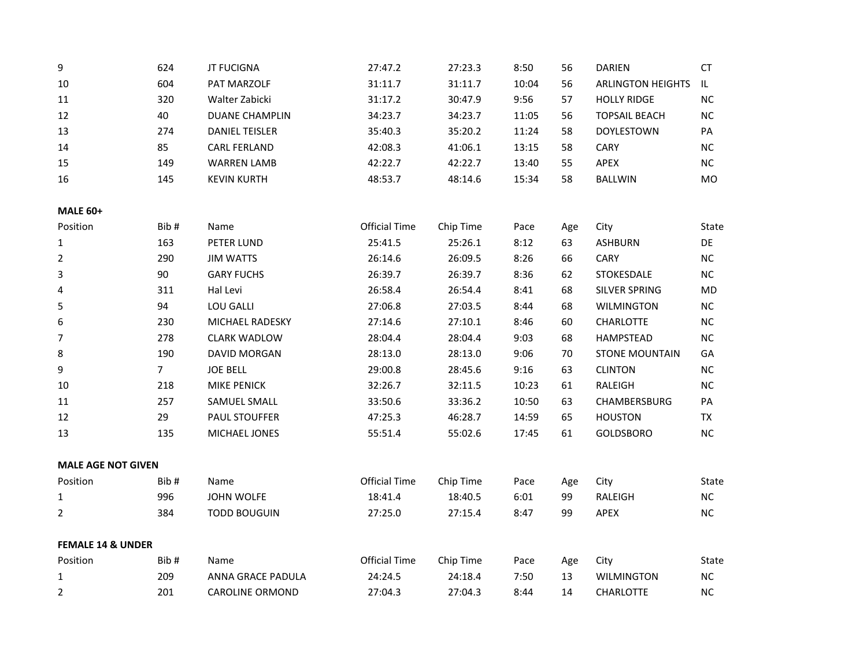| 9                            | 624            | <b>JT FUCIGNA</b>      | 27:47.2              | 27:23.3   | 8:50  | 56  | <b>DARIEN</b>            | <b>CT</b> |
|------------------------------|----------------|------------------------|----------------------|-----------|-------|-----|--------------------------|-----------|
| 10                           | 604            | PAT MARZOLF            | 31:11.7              | 31:11.7   | 10:04 | 56  | <b>ARLINGTON HEIGHTS</b> | IL.       |
| 11                           | 320            | Walter Zabicki         | 31:17.2              | 30:47.9   | 9:56  | 57  | <b>HOLLY RIDGE</b>       | <b>NC</b> |
| 12                           | 40             | <b>DUANE CHAMPLIN</b>  | 34:23.7              | 34:23.7   | 11:05 | 56  | <b>TOPSAIL BEACH</b>     | NC        |
| 13                           | 274            | <b>DANIEL TEISLER</b>  | 35:40.3              | 35:20.2   | 11:24 | 58  | <b>DOYLESTOWN</b>        | PA        |
| 14                           | 85             | <b>CARL FERLAND</b>    | 42:08.3              | 41:06.1   | 13:15 | 58  | <b>CARY</b>              | NC        |
| 15                           | 149            | <b>WARREN LAMB</b>     | 42:22.7              | 42:22.7   | 13:40 | 55  | APEX                     | NC        |
| 16                           | 145            | <b>KEVIN KURTH</b>     | 48:53.7              | 48:14.6   | 15:34 | 58  | <b>BALLWIN</b>           | MO        |
| <b>MALE 60+</b>              |                |                        |                      |           |       |     |                          |           |
| Position                     | Bib#           | Name                   | <b>Official Time</b> | Chip Time | Pace  | Age | City                     | State     |
| $\mathbf{1}$                 | 163            | PETER LUND             | 25:41.5              | 25:26.1   | 8:12  | 63  | <b>ASHBURN</b>           | DE        |
| $\overline{2}$               | 290            | <b>JIM WATTS</b>       | 26:14.6              | 26:09.5   | 8:26  | 66  | <b>CARY</b>              | NC        |
| 3                            | 90             | <b>GARY FUCHS</b>      | 26:39.7              | 26:39.7   | 8:36  | 62  | STOKESDALE               | NC        |
| 4                            | 311            | Hal Levi               | 26:58.4              | 26:54.4   | 8:41  | 68  | SILVER SPRING            | MD        |
| 5                            | 94             | LOU GALLI              | 27:06.8              | 27:03.5   | 8:44  | 68  | <b>WILMINGTON</b>        | NC        |
| 6                            | 230            | MICHAEL RADESKY        | 27:14.6              | 27:10.1   | 8:46  | 60  | <b>CHARLOTTE</b>         | NC        |
| $\overline{7}$               | 278            | <b>CLARK WADLOW</b>    | 28:04.4              | 28:04.4   | 9:03  | 68  | <b>HAMPSTEAD</b>         | NC        |
| 8                            | 190            | DAVID MORGAN           | 28:13.0              | 28:13.0   | 9:06  | 70  | <b>STONE MOUNTAIN</b>    | GA        |
| 9                            | $\overline{7}$ | <b>JOE BELL</b>        | 29:00.8              | 28:45.6   | 9:16  | 63  | <b>CLINTON</b>           | NC        |
| 10                           | 218            | <b>MIKE PENICK</b>     | 32:26.7              | 32:11.5   | 10:23 | 61  | RALEIGH                  | NC        |
| 11                           | 257            | SAMUEL SMALL           | 33:50.6              | 33:36.2   | 10:50 | 63  | CHAMBERSBURG             | PA        |
| 12                           | 29             | <b>PAUL STOUFFER</b>   | 47:25.3              | 46:28.7   | 14:59 | 65  | <b>HOUSTON</b>           | TX        |
| 13                           | 135            | MICHAEL JONES          | 55:51.4              | 55:02.6   | 17:45 | 61  | <b>GOLDSBORO</b>         | NC        |
| <b>MALE AGE NOT GIVEN</b>    |                |                        |                      |           |       |     |                          |           |
| Position                     | Bib#           | Name                   | <b>Official Time</b> | Chip Time | Pace  | Age | City                     | State     |
| $\mathbf{1}$                 | 996            | JOHN WOLFE             | 18:41.4              | 18:40.5   | 6:01  | 99  | RALEIGH                  | NC        |
| $\overline{2}$               | 384            | <b>TODD BOUGUIN</b>    | 27:25.0              | 27:15.4   | 8:47  | 99  | APEX                     | NC        |
| <b>FEMALE 14 &amp; UNDER</b> |                |                        |                      |           |       |     |                          |           |
| Position                     | Bib#           | Name                   | <b>Official Time</b> | Chip Time | Pace  | Age | City                     | State     |
| $\mathbf{1}$                 | 209            | ANNA GRACE PADULA      | 24:24.5              | 24:18.4   | 7:50  | 13  | <b>WILMINGTON</b>        | $\sf NC$  |
| $\overline{2}$               | 201            | <b>CAROLINE ORMOND</b> | 27:04.3              | 27:04.3   | 8:44  | 14  | <b>CHARLOTTE</b>         | NC        |
|                              |                |                        |                      |           |       |     |                          |           |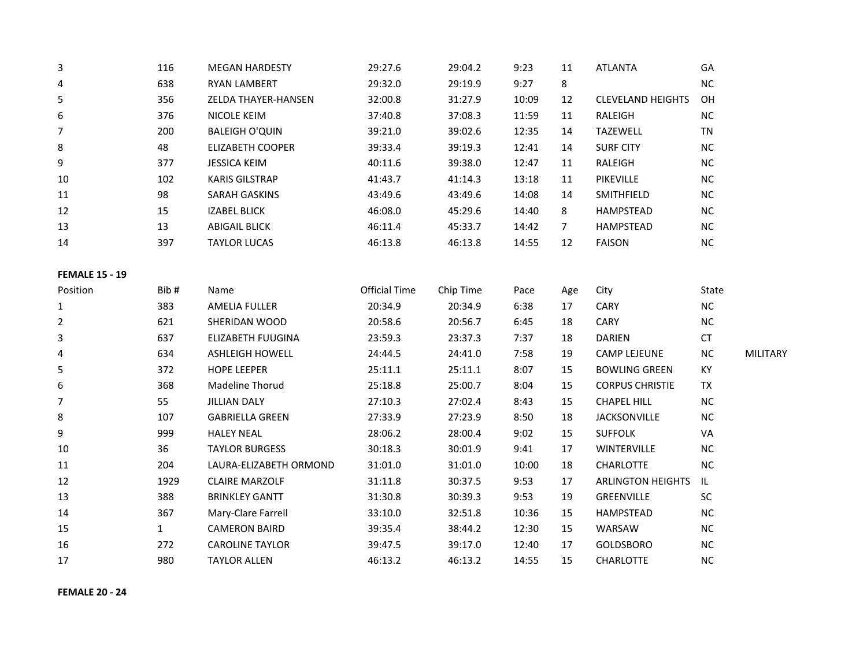| 3                     | 116  | <b>MEGAN HARDESTY</b>   | 29:27.6       | 29:04.2   | 9:23  | 11          | <b>ATLANTA</b>           | GA        |                 |
|-----------------------|------|-------------------------|---------------|-----------|-------|-------------|--------------------------|-----------|-----------------|
| 4                     | 638  | <b>RYAN LAMBERT</b>     | 29:32.0       | 29:19.9   | 9:27  | 8           |                          | $\sf NC$  |                 |
| 5                     | 356  | ZELDA THAYER-HANSEN     | 32:00.8       | 31:27.9   | 10:09 | 12          | <b>CLEVELAND HEIGHTS</b> | OH        |                 |
| 6                     | 376  | NICOLE KEIM             | 37:40.8       | 37:08.3   | 11:59 | 11          | RALEIGH                  | $\sf NC$  |                 |
| $\overline{7}$        | 200  | <b>BALEIGH O'QUIN</b>   | 39:21.0       | 39:02.6   | 12:35 | 14          | TAZEWELL                 | <b>TN</b> |                 |
| 8                     | 48   | <b>ELIZABETH COOPER</b> | 39:33.4       | 39:19.3   | 12:41 | 14          | <b>SURF CITY</b>         | <b>NC</b> |                 |
| 9                     | 377  | <b>JESSICA KEIM</b>     | 40:11.6       | 39:38.0   | 12:47 | 11          | RALEIGH                  | $\sf NC$  |                 |
| 10                    | 102  | <b>KARIS GILSTRAP</b>   | 41:43.7       | 41:14.3   | 13:18 | 11          | PIKEVILLE                | NC        |                 |
| 11                    | 98   | SARAH GASKINS           | 43:49.6       | 43:49.6   | 14:08 | 14          | SMITHFIELD               | <b>NC</b> |                 |
| 12                    | 15   | <b>IZABEL BLICK</b>     | 46:08.0       | 45:29.6   | 14:40 | 8           | HAMPSTEAD                | NC        |                 |
| 13                    | 13   | <b>ABIGAIL BLICK</b>    | 46:11.4       | 45:33.7   | 14:42 | $7^{\circ}$ | <b>HAMPSTEAD</b>         | NC        |                 |
| 14                    | 397  | <b>TAYLOR LUCAS</b>     | 46:13.8       | 46:13.8   | 14:55 | 12          | <b>FAISON</b>            | NC        |                 |
| <b>FEMALE 15 - 19</b> |      |                         |               |           |       |             |                          |           |                 |
| Position              | Bib# | Name                    | Official Time | Chip Time | Pace  | Age         | City                     | State     |                 |
| $\mathbf{1}$          | 383  | AMELIA FULLER           | 20:34.9       | 20:34.9   | 6:38  | 17          | CARY                     | $\sf NC$  |                 |
| $\overline{2}$        | 621  | SHERIDAN WOOD           | 20:58.6       | 20:56.7   | 6:45  | 18          | CARY                     | NC        |                 |
| 3                     | 637  | ELIZABETH FUUGINA       | 23:59.3       | 23:37.3   | 7:37  | 18          | <b>DARIEN</b>            | <b>CT</b> |                 |
| 4                     | 634  | <b>ASHLEIGH HOWELL</b>  | 24:44.5       | 24:41.0   | 7:58  | 19          | <b>CAMP LEJEUNE</b>      | NC        | <b>MILITARY</b> |
| 5                     | 372  | <b>HOPE LEEPER</b>      | 25:11.1       | 25:11.1   | 8:07  | 15          | <b>BOWLING GREEN</b>     | KY        |                 |
| 6                     | 368  | Madeline Thorud         | 25:18.8       | 25:00.7   | 8:04  | 15          | <b>CORPUS CHRISTIE</b>   | TX        |                 |
| 7                     | 55   | <b>JILLIAN DALY</b>     | 27:10.3       | 27:02.4   | 8:43  | 15          | <b>CHAPEL HILL</b>       | NC        |                 |
| 8                     | 107  | <b>GABRIELLA GREEN</b>  | 27:33.9       | 27:23.9   | 8:50  | 18          | <b>JACKSONVILLE</b>      | <b>NC</b> |                 |
| 9                     | 999  | <b>HALEY NEAL</b>       | 28:06.2       | 28:00.4   | 9:02  | 15          | <b>SUFFOLK</b>           | VA        |                 |
| 10                    | 36   | <b>TAYLOR BURGESS</b>   | 30:18.3       | 30:01.9   | 9:41  | 17          | WINTERVILLE              | NC        |                 |
| 11                    | 204  | LAURA-ELIZABETH ORMOND  | 31:01.0       | 31:01.0   | 10:00 | 18          | <b>CHARLOTTE</b>         | $\sf NC$  |                 |
| 12                    | 1929 | <b>CLAIRE MARZOLF</b>   | 31:11.8       | 30:37.5   | 9:53  | 17          | <b>ARLINGTON HEIGHTS</b> | -IL.      |                 |
| 13                    | 388  | <b>BRINKLEY GANTT</b>   | 31:30.8       | 30:39.3   | 9:53  | 19          | GREENVILLE               | SC        |                 |
| 14                    | 367  | Mary-Clare Farrell      | 33:10.0       | 32:51.8   | 10:36 | 15          | <b>HAMPSTEAD</b>         | $\sf NC$  |                 |
| 15                    | 1    | <b>CAMERON BAIRD</b>    | 39:35.4       | 38:44.2   | 12:30 | 15          | WARSAW                   | <b>NC</b> |                 |
| 16                    | 272  | <b>CAROLINE TAYLOR</b>  | 39:47.5       | 39:17.0   | 12:40 | 17          | GOLDSBORO                | NC        |                 |
| 17                    | 980  | <b>TAYLOR ALLEN</b>     | 46:13.2       | 46:13.2   | 14:55 | 15          | <b>CHARLOTTE</b>         | $\sf NC$  |                 |
|                       |      |                         |               |           |       |             |                          |           |                 |

**FEMALE 20 - 24**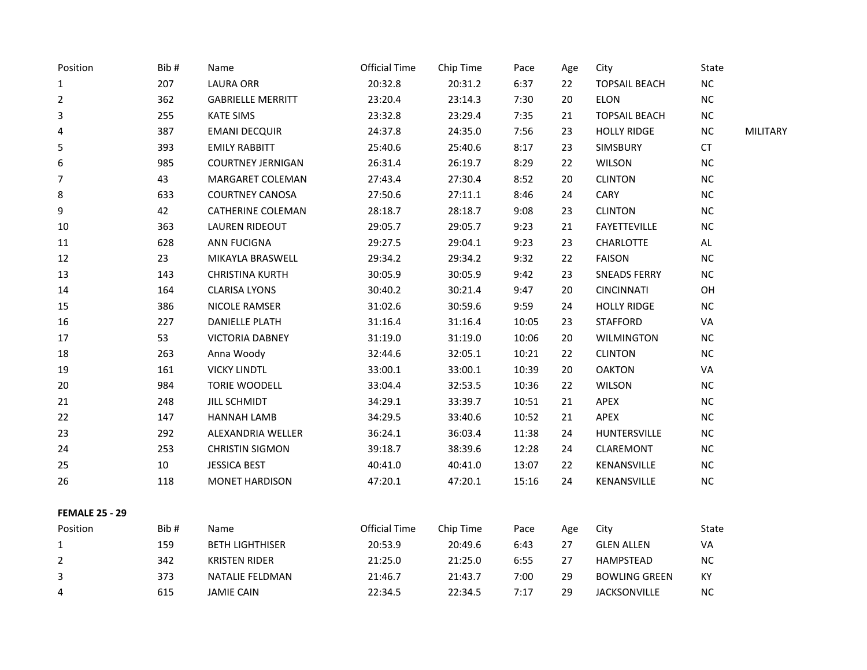| Position              | Bib# | Name                     | <b>Official Time</b> | Chip Time | Pace  | Age | City                 | State      |          |
|-----------------------|------|--------------------------|----------------------|-----------|-------|-----|----------------------|------------|----------|
| $\mathbf{1}$          | 207  | <b>LAURA ORR</b>         | 20:32.8              | 20:31.2   | 6:37  | 22  | <b>TOPSAIL BEACH</b> | ${\sf NC}$ |          |
| $\overline{2}$        | 362  | <b>GABRIELLE MERRITT</b> | 23:20.4              | 23:14.3   | 7:30  | 20  | <b>ELON</b>          | NC         |          |
| 3                     | 255  | <b>KATE SIMS</b>         | 23:32.8              | 23:29.4   | 7:35  | 21  | <b>TOPSAIL BEACH</b> | $\sf NC$   |          |
| 4                     | 387  | <b>EMANI DECQUIR</b>     | 24:37.8              | 24:35.0   | 7:56  | 23  | <b>HOLLY RIDGE</b>   | NC         | MILITARY |
| 5                     | 393  | <b>EMILY RABBITT</b>     | 25:40.6              | 25:40.6   | 8:17  | 23  | SIMSBURY             | <b>CT</b>  |          |
| 6                     | 985  | <b>COURTNEY JERNIGAN</b> | 26:31.4              | 26:19.7   | 8:29  | 22  | <b>WILSON</b>        | NC         |          |
| 7                     | 43   | MARGARET COLEMAN         | 27:43.4              | 27:30.4   | 8:52  | 20  | <b>CLINTON</b>       | NC         |          |
| 8                     | 633  | <b>COURTNEY CANOSA</b>   | 27:50.6              | 27:11.1   | 8:46  | 24  | CARY                 | NC         |          |
| 9                     | 42   | CATHERINE COLEMAN        | 28:18.7              | 28:18.7   | 9:08  | 23  | <b>CLINTON</b>       | NC         |          |
| 10                    | 363  | LAUREN RIDEOUT           | 29:05.7              | 29:05.7   | 9:23  | 21  | <b>FAYETTEVILLE</b>  | NC         |          |
| 11                    | 628  | <b>ANN FUCIGNA</b>       | 29:27.5              | 29:04.1   | 9:23  | 23  | CHARLOTTE            | AL         |          |
| 12                    | 23   | MIKAYLA BRASWELL         | 29:34.2              | 29:34.2   | 9:32  | 22  | <b>FAISON</b>        | NC         |          |
| 13                    | 143  | <b>CHRISTINA KURTH</b>   | 30:05.9              | 30:05.9   | 9:42  | 23  | <b>SNEADS FERRY</b>  | NC         |          |
| 14                    | 164  | <b>CLARISA LYONS</b>     | 30:40.2              | 30:21.4   | 9:47  | 20  | <b>CINCINNATI</b>    | OH         |          |
| 15                    | 386  | NICOLE RAMSER            | 31:02.6              | 30:59.6   | 9:59  | 24  | <b>HOLLY RIDGE</b>   | NC         |          |
| 16                    | 227  | <b>DANIELLE PLATH</b>    | 31:16.4              | 31:16.4   | 10:05 | 23  | <b>STAFFORD</b>      | VA         |          |
| 17                    | 53   | <b>VICTORIA DABNEY</b>   | 31:19.0              | 31:19.0   | 10:06 | 20  | <b>WILMINGTON</b>    | NC         |          |
| 18                    | 263  | Anna Woody               | 32:44.6              | 32:05.1   | 10:21 | 22  | <b>CLINTON</b>       | $\sf NC$   |          |
| 19                    | 161  | <b>VICKY LINDTL</b>      | 33:00.1              | 33:00.1   | 10:39 | 20  | <b>OAKTON</b>        | VA         |          |
| 20                    | 984  | TORIE WOODELL            | 33:04.4              | 32:53.5   | 10:36 | 22  | <b>WILSON</b>        | NC         |          |
| 21                    | 248  | JILL SCHMIDT             | 34:29.1              | 33:39.7   | 10:51 | 21  | APEX                 | NC         |          |
| 22                    | 147  | <b>HANNAH LAMB</b>       | 34:29.5              | 33:40.6   | 10:52 | 21  | APEX                 | ${\sf NC}$ |          |
| 23                    | 292  | ALEXANDRIA WELLER        | 36:24.1              | 36:03.4   | 11:38 | 24  | HUNTERSVILLE         | NC         |          |
| 24                    | 253  | <b>CHRISTIN SIGMON</b>   | 39:18.7              | 38:39.6   | 12:28 | 24  | CLAREMONT            | ${\sf NC}$ |          |
| 25                    | 10   | <b>JESSICA BEST</b>      | 40:41.0              | 40:41.0   | 13:07 | 22  | KENANSVILLE          | NC         |          |
| 26                    | 118  | <b>MONET HARDISON</b>    | 47:20.1              | 47:20.1   | 15:16 | 24  | KENANSVILLE          | NC         |          |
| <b>FEMALE 25 - 29</b> |      |                          |                      |           |       |     |                      |            |          |
| Position              | Bib# | Name                     | <b>Official Time</b> | Chip Time | Pace  | Age | City                 | State      |          |
| $\mathbf{1}$          | 159  | <b>BETH LIGHTHISER</b>   | 20:53.9              | 20:49.6   | 6:43  | 27  | <b>GLEN ALLEN</b>    | VA         |          |
| $\overline{2}$        | 342  | <b>KRISTEN RIDER</b>     | 21:25.0              | 21:25.0   | 6:55  | 27  | HAMPSTEAD            | NC         |          |
| 3                     | 373  | NATALIE FELDMAN          | 21:46.7              | 21:43.7   | 7:00  | 29  | <b>BOWLING GREEN</b> | KY         |          |
| 4                     | 615  | <b>JAMIE CAIN</b>        | 22:34.5              | 22:34.5   | 7:17  | 29  | JACKSONVILLE         | NC         |          |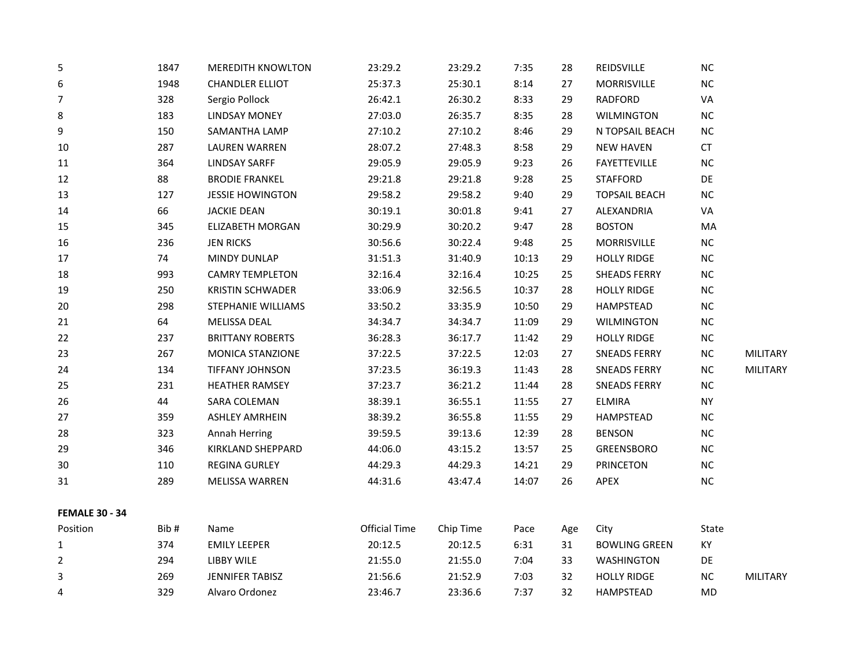| 5                     | 1847 | <b>MEREDITH KNOWLTON</b> | 23:29.2              | 23:29.2   | 7:35  | 28  | REIDSVILLE           | NC         |          |
|-----------------------|------|--------------------------|----------------------|-----------|-------|-----|----------------------|------------|----------|
| 6                     | 1948 | <b>CHANDLER ELLIOT</b>   | 25:37.3              | 25:30.1   | 8:14  | 27  | MORRISVILLE          | $\sf NC$   |          |
| 7                     | 328  | Sergio Pollock           | 26:42.1              | 26:30.2   | 8:33  | 29  | RADFORD              | VA         |          |
| 8                     | 183  | <b>LINDSAY MONEY</b>     | 27:03.0              | 26:35.7   | 8:35  | 28  | <b>WILMINGTON</b>    | $NC$       |          |
| 9                     | 150  | SAMANTHA LAMP            | 27:10.2              | 27:10.2   | 8:46  | 29  | N TOPSAIL BEACH      | ${\sf NC}$ |          |
| 10                    | 287  | <b>LAUREN WARREN</b>     | 28:07.2              | 27:48.3   | 8:58  | 29  | <b>NEW HAVEN</b>     | <b>CT</b>  |          |
| 11                    | 364  | <b>LINDSAY SARFF</b>     | 29:05.9              | 29:05.9   | 9:23  | 26  | <b>FAYETTEVILLE</b>  | NC         |          |
| 12                    | 88   | <b>BRODIE FRANKEL</b>    | 29:21.8              | 29:21.8   | 9:28  | 25  | <b>STAFFORD</b>      | DE         |          |
| 13                    | 127  | <b>JESSIE HOWINGTON</b>  | 29:58.2              | 29:58.2   | 9:40  | 29  | <b>TOPSAIL BEACH</b> | $\sf NC$   |          |
| 14                    | 66   | <b>JACKIE DEAN</b>       | 30:19.1              | 30:01.8   | 9:41  | 27  | ALEXANDRIA           | VA         |          |
| 15                    | 345  | <b>ELIZABETH MORGAN</b>  | 30:29.9              | 30:20.2   | 9:47  | 28  | <b>BOSTON</b>        | MA         |          |
| 16                    | 236  | <b>JEN RICKS</b>         | 30:56.6              | 30:22.4   | 9:48  | 25  | <b>MORRISVILLE</b>   | NC         |          |
| 17                    | 74   | <b>MINDY DUNLAP</b>      | 31:51.3              | 31:40.9   | 10:13 | 29  | <b>HOLLY RIDGE</b>   | NC         |          |
| 18                    | 993  | <b>CAMRY TEMPLETON</b>   | 32:16.4              | 32:16.4   | 10:25 | 25  | <b>SHEADS FERRY</b>  | $NC$       |          |
| 19                    | 250  | <b>KRISTIN SCHWADER</b>  | 33:06.9              | 32:56.5   | 10:37 | 28  | <b>HOLLY RIDGE</b>   | NC         |          |
| 20                    | 298  | STEPHANIE WILLIAMS       | 33:50.2              | 33:35.9   | 10:50 | 29  | HAMPSTEAD            | $NC$       |          |
| 21                    | 64   | MELISSA DEAL             | 34:34.7              | 34:34.7   | 11:09 | 29  | <b>WILMINGTON</b>    | NC         |          |
| 22                    | 237  | <b>BRITTANY ROBERTS</b>  | 36:28.3              | 36:17.7   | 11:42 | 29  | <b>HOLLY RIDGE</b>   | NC         |          |
| 23                    | 267  | <b>MONICA STANZIONE</b>  | 37:22.5              | 37:22.5   | 12:03 | 27  | <b>SNEADS FERRY</b>  | NC         | MILITARY |
| 24                    | 134  | TIFFANY JOHNSON          | 37:23.5              | 36:19.3   | 11:43 | 28  | <b>SNEADS FERRY</b>  | NC         | MILITARY |
| 25                    | 231  | <b>HEATHER RAMSEY</b>    | 37:23.7              | 36:21.2   | 11:44 | 28  | <b>SNEADS FERRY</b>  | $\sf NC$   |          |
| 26                    | 44   | SARA COLEMAN             | 38:39.1              | 36:55.1   | 11:55 | 27  | <b>ELMIRA</b>        | <b>NY</b>  |          |
| 27                    | 359  | <b>ASHLEY AMRHEIN</b>    | 38:39.2              | 36:55.8   | 11:55 | 29  | <b>HAMPSTEAD</b>     | NC         |          |
| 28                    | 323  | Annah Herring            | 39:59.5              | 39:13.6   | 12:39 | 28  | <b>BENSON</b>        | NC         |          |
| 29                    | 346  | <b>KIRKLAND SHEPPARD</b> | 44:06.0              | 43:15.2   | 13:57 | 25  | <b>GREENSBORO</b>    | $NC$       |          |
| 30                    | 110  | <b>REGINA GURLEY</b>     | 44:29.3              | 44:29.3   | 14:21 | 29  | <b>PRINCETON</b>     | $NC$       |          |
| 31                    | 289  | <b>MELISSA WARREN</b>    | 44:31.6              | 43:47.4   | 14:07 | 26  | APEX                 | NC         |          |
| <b>FEMALE 30 - 34</b> |      |                          |                      |           |       |     |                      |            |          |
| Position              | Bib# | Name                     | <b>Official Time</b> | Chip Time | Pace  | Age | City                 | State      |          |
| $\mathbf{1}$          | 374  | <b>EMILY LEEPER</b>      | 20:12.5              | 20:12.5   | 6:31  | 31  | <b>BOWLING GREEN</b> | KY         |          |
| 2                     | 294  | <b>LIBBY WILE</b>        | 21:55.0              | 21:55.0   | 7:04  | 33  | <b>WASHINGTON</b>    | DE         |          |
| 3                     | 269  | <b>JENNIFER TABISZ</b>   | 21:56.6              | 21:52.9   | 7:03  | 32  | <b>HOLLY RIDGE</b>   | NC         | MILITARY |
| 4                     | 329  | Alvaro Ordonez           | 23:46.7              | 23:36.6   | 7:37  | 32  | <b>HAMPSTEAD</b>     | MD         |          |
|                       |      |                          |                      |           |       |     |                      |            |          |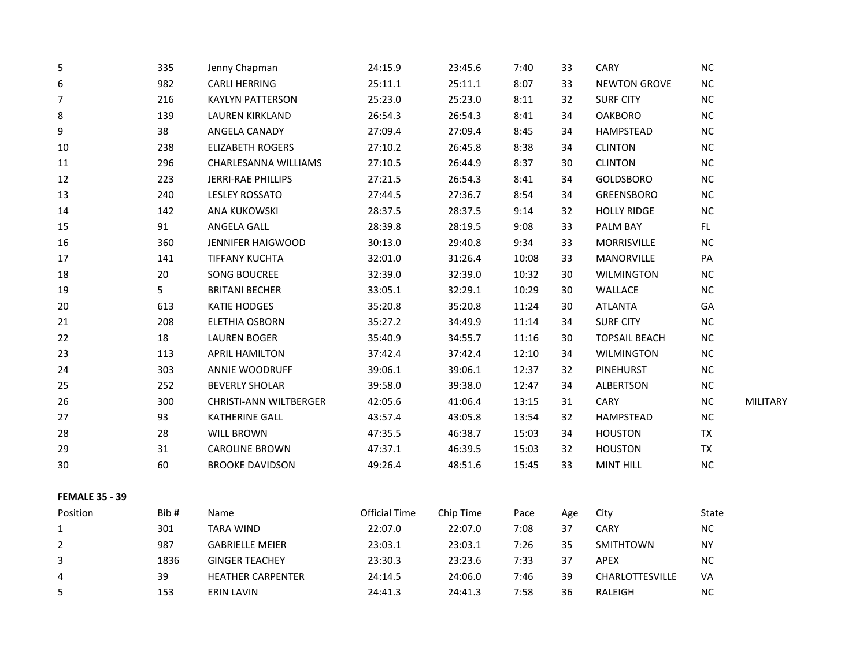| $\mathsf S$           | 335  | Jenny Chapman            | 24:15.9              | 23:45.6   | 7:40  | 33  | CARY                 | NC         |          |
|-----------------------|------|--------------------------|----------------------|-----------|-------|-----|----------------------|------------|----------|
| 6                     | 982  | <b>CARLI HERRING</b>     | 25:11.1              | 25:11.1   | 8:07  | 33  | <b>NEWTON GROVE</b>  | ${\sf NC}$ |          |
| $\overline{7}$        | 216  | <b>KAYLYN PATTERSON</b>  | 25:23.0              | 25:23.0   | 8:11  | 32  | <b>SURF CITY</b>     | $\sf NC$   |          |
| 8                     | 139  | <b>LAUREN KIRKLAND</b>   | 26:54.3              | 26:54.3   | 8:41  | 34  | <b>OAKBORO</b>       | NC         |          |
| 9                     | 38   | ANGELA CANADY            | 27:09.4              | 27:09.4   | 8:45  | 34  | HAMPSTEAD            | ${\sf NC}$ |          |
| 10                    | 238  | <b>ELIZABETH ROGERS</b>  | 27:10.2              | 26:45.8   | 8:38  | 34  | <b>CLINTON</b>       | NC         |          |
| 11                    | 296  | CHARLESANNA WILLIAMS     | 27:10.5              | 26:44.9   | 8:37  | 30  | <b>CLINTON</b>       | $NC$       |          |
| 12                    | 223  | JERRI-RAE PHILLIPS       | 27:21.5              | 26:54.3   | 8:41  | 34  | GOLDSBORO            | NC         |          |
| 13                    | 240  | <b>LESLEY ROSSATO</b>    | 27:44.5              | 27:36.7   | 8:54  | 34  | <b>GREENSBORO</b>    | NC         |          |
| 14                    | 142  | ANA KUKOWSKI             | 28:37.5              | 28:37.5   | 9:14  | 32  | <b>HOLLY RIDGE</b>   | NC         |          |
| 15                    | 91   | ANGELA GALL              | 28:39.8              | 28:19.5   | 9:08  | 33  | PALM BAY             | FL.        |          |
| 16                    | 360  | JENNIFER HAIGWOOD        | 30:13.0              | 29:40.8   | 9:34  | 33  | MORRISVILLE          | ${\sf NC}$ |          |
| 17                    | 141  | <b>TIFFANY KUCHTA</b>    | 32:01.0              | 31:26.4   | 10:08 | 33  | MANORVILLE           | PA         |          |
| 18                    | 20   | <b>SONG BOUCREE</b>      | 32:39.0              | 32:39.0   | 10:32 | 30  | <b>WILMINGTON</b>    | NC         |          |
| 19                    | 5    | <b>BRITANI BECHER</b>    | 33:05.1              | 32:29.1   | 10:29 | 30  | WALLACE              | NC         |          |
| 20                    | 613  | <b>KATIE HODGES</b>      | 35:20.8              | 35:20.8   | 11:24 | 30  | <b>ATLANTA</b>       | GA         |          |
| 21                    | 208  | ELETHIA OSBORN           | 35:27.2              | 34:49.9   | 11:14 | 34  | <b>SURF CITY</b>     | ${\sf NC}$ |          |
| 22                    | 18   | <b>LAUREN BOGER</b>      | 35:40.9              | 34:55.7   | 11:16 | 30  | <b>TOPSAIL BEACH</b> | $\sf NC$   |          |
| 23                    | 113  | <b>APRIL HAMILTON</b>    | 37:42.4              | 37:42.4   | 12:10 | 34  | <b>WILMINGTON</b>    | NC         |          |
| 24                    | 303  | ANNIE WOODRUFF           | 39:06.1              | 39:06.1   | 12:37 | 32  | <b>PINEHURST</b>     | ${\sf NC}$ |          |
| 25                    | 252  | <b>BEVERLY SHOLAR</b>    | 39:58.0              | 39:38.0   | 12:47 | 34  | <b>ALBERTSON</b>     | NC         |          |
| 26                    | 300  | CHRISTI-ANN WILTBERGER   | 42:05.6              | 41:06.4   | 13:15 | 31  | CARY                 | ${\sf NC}$ | MILITARY |
| 27                    | 93   | KATHERINE GALL           | 43:57.4              | 43:05.8   | 13:54 | 32  | HAMPSTEAD            | NC         |          |
| 28                    | 28   | <b>WILL BROWN</b>        | 47:35.5              | 46:38.7   | 15:03 | 34  | <b>HOUSTON</b>       | TX         |          |
| 29                    | 31   | <b>CAROLINE BROWN</b>    | 47:37.1              | 46:39.5   | 15:03 | 32  | <b>HOUSTON</b>       | TX         |          |
| 30                    | 60   | <b>BROOKE DAVIDSON</b>   | 49:26.4              | 48:51.6   | 15:45 | 33  | <b>MINT HILL</b>     | $\sf NC$   |          |
| <b>FEMALE 35 - 39</b> |      |                          |                      |           |       |     |                      |            |          |
| Position              | Bib# | Name                     | <b>Official Time</b> | Chip Time | Pace  | Age | City                 | State      |          |
| $\mathbf{1}$          | 301  | <b>TARA WIND</b>         | 22:07.0              | 22:07.0   | 7:08  | 37  | CARY                 | ${\sf NC}$ |          |
| $\overline{2}$        | 987  | <b>GABRIELLE MEIER</b>   | 23:03.1              | 23:03.1   | 7:26  | 35  | SMITHTOWN            | <b>NY</b>  |          |
| 3                     | 1836 | <b>GINGER TEACHEY</b>    | 23:30.3              | 23:23.6   | 7:33  | 37  | APEX                 | ${\sf NC}$ |          |
| 4                     | 39   | <b>HEATHER CARPENTER</b> | 24:14.5              | 24:06.0   | 7:46  | 39  | CHARLOTTESVILLE      | VA         |          |
| 5                     | 153  | <b>ERIN LAVIN</b>        | 24:41.3              | 24:41.3   | 7:58  | 36  | RALEIGH              | $NC$       |          |
|                       |      |                          |                      |           |       |     |                      |            |          |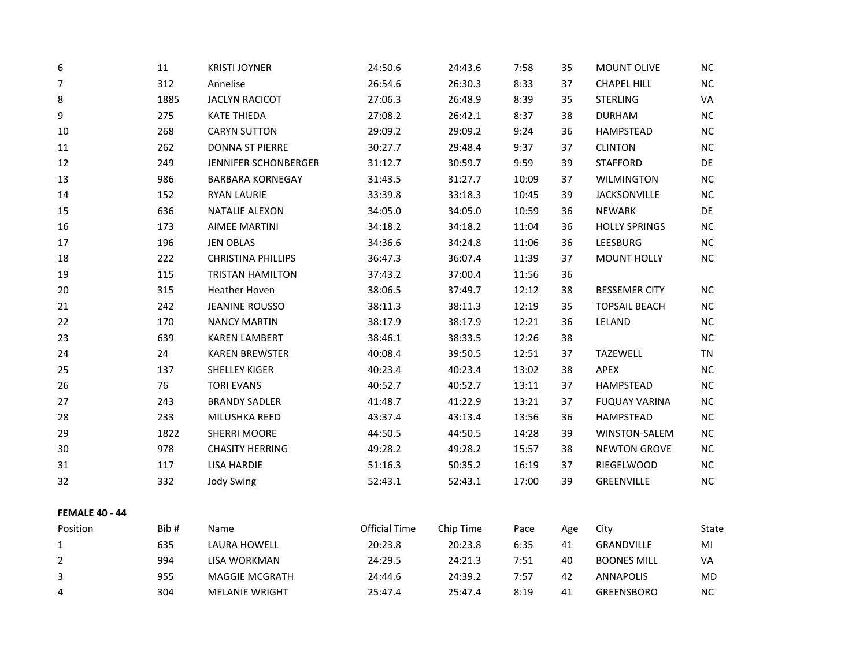| $\boldsymbol{6}$      | 11   | <b>KRISTI JOYNER</b>      | 24:50.6       | 24:43.6   | 7:58  | 35  | <b>MOUNT OLIVE</b>   | NC.       |
|-----------------------|------|---------------------------|---------------|-----------|-------|-----|----------------------|-----------|
| $\overline{7}$        | 312  | Annelise                  | 26:54.6       | 26:30.3   | 8:33  | 37  | <b>CHAPEL HILL</b>   | NC        |
| 8                     | 1885 | <b>JACLYN RACICOT</b>     | 27:06.3       | 26:48.9   | 8:39  | 35  | <b>STERLING</b>      | VA        |
| 9                     | 275  | <b>KATE THIEDA</b>        | 27:08.2       | 26:42.1   | 8:37  | 38  | <b>DURHAM</b>        | NC.       |
| 10                    | 268  | <b>CARYN SUTTON</b>       | 29:09.2       | 29:09.2   | 9:24  | 36  | <b>HAMPSTEAD</b>     | NC        |
| 11                    | 262  | <b>DONNA ST PIERRE</b>    | 30:27.7       | 29:48.4   | 9:37  | 37  | <b>CLINTON</b>       | <b>NC</b> |
| 12                    | 249  | JENNIFER SCHONBERGER      | 31:12.7       | 30:59.7   | 9:59  | 39  | <b>STAFFORD</b>      | DE        |
| 13                    | 986  | <b>BARBARA KORNEGAY</b>   | 31:43.5       | 31:27.7   | 10:09 | 37  | <b>WILMINGTON</b>    | NC.       |
| 14                    | 152  | <b>RYAN LAURIE</b>        | 33:39.8       | 33:18.3   | 10:45 | 39  | <b>JACKSONVILLE</b>  | <b>NC</b> |
| 15                    | 636  | <b>NATALIE ALEXON</b>     | 34:05.0       | 34:05.0   | 10:59 | 36  | <b>NEWARK</b>        | DE        |
| 16                    | 173  | <b>AIMEE MARTINI</b>      | 34:18.2       | 34:18.2   | 11:04 | 36  | <b>HOLLY SPRINGS</b> | <b>NC</b> |
| 17                    | 196  | <b>JEN OBLAS</b>          | 34:36.6       | 34:24.8   | 11:06 | 36  | LEESBURG             | NC        |
| 18                    | 222  | <b>CHRISTINA PHILLIPS</b> | 36:47.3       | 36:07.4   | 11:39 | 37  | <b>MOUNT HOLLY</b>   | <b>NC</b> |
| 19                    | 115  | <b>TRISTAN HAMILTON</b>   | 37:43.2       | 37:00.4   | 11:56 | 36  |                      |           |
| 20                    | 315  | Heather Hoven             | 38:06.5       | 37:49.7   | 12:12 | 38  | <b>BESSEMER CITY</b> | NC.       |
| 21                    | 242  | <b>JEANINE ROUSSO</b>     | 38:11.3       | 38:11.3   | 12:19 | 35  | <b>TOPSAIL BEACH</b> | NC        |
| 22                    | 170  | <b>NANCY MARTIN</b>       | 38:17.9       | 38:17.9   | 12:21 | 36  | LELAND               | <b>NC</b> |
| 23                    | 639  | <b>KAREN LAMBERT</b>      | 38:46.1       | 38:33.5   | 12:26 | 38  |                      | NC        |
| 24                    | 24   | <b>KAREN BREWSTER</b>     | 40:08.4       | 39:50.5   | 12:51 | 37  | <b>TAZEWELL</b>      | <b>TN</b> |
| 25                    | 137  | <b>SHELLEY KIGER</b>      | 40:23.4       | 40:23.4   | 13:02 | 38  | APEX                 | <b>NC</b> |
| 26                    | 76   | <b>TORI EVANS</b>         | 40:52.7       | 40:52.7   | 13:11 | 37  | <b>HAMPSTEAD</b>     | NC.       |
| 27                    | 243  | <b>BRANDY SADLER</b>      | 41:48.7       | 41:22.9   | 13:21 | 37  | <b>FUQUAY VARINA</b> | <b>NC</b> |
| 28                    | 233  | MILUSHKA REED             | 43:37.4       | 43:13.4   | 13:56 | 36  | <b>HAMPSTEAD</b>     | NC        |
| 29                    | 1822 | <b>SHERRI MOORE</b>       | 44:50.5       | 44:50.5   | 14:28 | 39  | WINSTON-SALEM        | <b>NC</b> |
| 30                    | 978  | <b>CHASITY HERRING</b>    | 49:28.2       | 49:28.2   | 15:57 | 38  | <b>NEWTON GROVE</b>  | NC        |
| 31                    | 117  | <b>LISA HARDIE</b>        | 51:16.3       | 50:35.2   | 16:19 | 37  | RIEGELWOOD           | <b>NC</b> |
| 32                    | 332  | <b>Jody Swing</b>         | 52:43.1       | 52:43.1   | 17:00 | 39  | GREENVILLE           | NC        |
| <b>FEMALE 40 - 44</b> |      |                           |               |           |       |     |                      |           |
| Position              | Bib# | Name                      | Official Time | Chip Time | Pace  | Age | City                 | State     |
| $\mathbf{1}$          | 635  | LAURA HOWELL              | 20:23.8       | 20:23.8   | 6:35  | 41  | GRANDVILLE           | MI        |
| $\overline{2}$        | 994  | LISA WORKMAN              | 24:29.5       | 24:21.3   | 7:51  | 40  | <b>BOONES MILL</b>   | VA        |
| 3                     | 955  | <b>MAGGIE MCGRATH</b>     | 24:44.6       | 24:39.2   | 7:57  | 42  | <b>ANNAPOLIS</b>     | MD        |
| 4                     | 304  | <b>MELANIE WRIGHT</b>     | 25:47.4       | 25:47.4   | 8:19  | 41  | <b>GREENSBORO</b>    | NC.       |
|                       |      |                           |               |           |       |     |                      |           |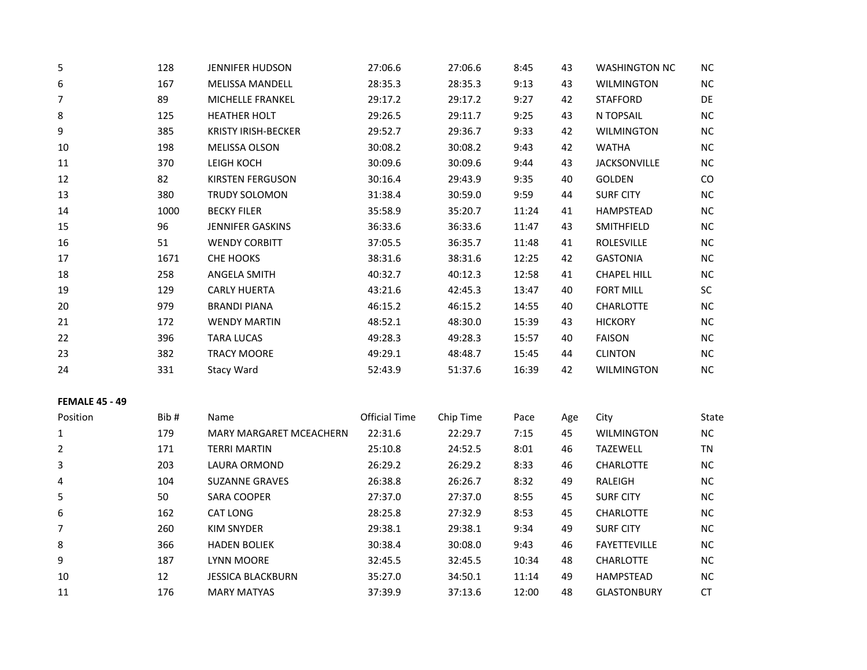| 5  | 128  | <b>JENNIFER HUDSON</b>     | 27:06.6 | 27:06.6 | 8:45  | 43 | <b>WASHINGTON NC</b> | NC.       |
|----|------|----------------------------|---------|---------|-------|----|----------------------|-----------|
| 6  | 167  | <b>MELISSA MANDELL</b>     | 28:35.3 | 28:35.3 | 9:13  | 43 | <b>WILMINGTON</b>    | <b>NC</b> |
| 7  | 89   | MICHELLE FRANKEL           | 29:17.2 | 29:17.2 | 9:27  | 42 | <b>STAFFORD</b>      | DE        |
| 8  | 125  | <b>HEATHER HOLT</b>        | 29:26.5 | 29:11.7 | 9:25  | 43 | N TOPSAIL            | NC.       |
| 9  | 385  | <b>KRISTY IRISH-BECKER</b> | 29:52.7 | 29:36.7 | 9:33  | 42 | <b>WILMINGTON</b>    | <b>NC</b> |
| 10 | 198  | <b>MELISSA OLSON</b>       | 30:08.2 | 30:08.2 | 9:43  | 42 | <b>WATHA</b>         | NC        |
| 11 | 370  | LEIGH KOCH                 | 30:09.6 | 30:09.6 | 9:44  | 43 | <b>JACKSONVILLE</b>  | NC        |
| 12 | 82   | <b>KIRSTEN FERGUSON</b>    | 30:16.4 | 29:43.9 | 9:35  | 40 | GOLDEN               | CO        |
| 13 | 380  | <b>TRUDY SOLOMON</b>       | 31:38.4 | 30:59.0 | 9:59  | 44 | <b>SURF CITY</b>     | NC        |
| 14 | 1000 | <b>BECKY FILER</b>         | 35:58.9 | 35:20.7 | 11:24 | 41 | HAMPSTEAD            | NC        |
| 15 | 96   | <b>JENNIFER GASKINS</b>    | 36:33.6 | 36:33.6 | 11:47 | 43 | SMITHFIELD           | NC        |
| 16 | 51   | <b>WENDY CORBITT</b>       | 37:05.5 | 36:35.7 | 11:48 | 41 | <b>ROLESVILLE</b>    | NC.       |
| 17 | 1671 | <b>CHE HOOKS</b>           | 38:31.6 | 38:31.6 | 12:25 | 42 | <b>GASTONIA</b>      | NC.       |
| 18 | 258  | <b>ANGELA SMITH</b>        | 40:32.7 | 40:12.3 | 12:58 | 41 | <b>CHAPEL HILL</b>   | <b>NC</b> |
| 19 | 129  | <b>CARLY HUERTA</b>        | 43:21.6 | 42:45.3 | 13:47 | 40 | <b>FORT MILL</b>     | SC        |
| 20 | 979  | <b>BRANDI PIANA</b>        | 46:15.2 | 46:15.2 | 14:55 | 40 | <b>CHARLOTTE</b>     | NC        |
| 21 | 172  | <b>WENDY MARTIN</b>        | 48:52.1 | 48:30.0 | 15:39 | 43 | <b>HICKORY</b>       | NC        |
| 22 | 396  | <b>TARA LUCAS</b>          | 49:28.3 | 49:28.3 | 15:57 | 40 | <b>FAISON</b>        | NC        |
| 23 | 382  | <b>TRACY MOORE</b>         | 49:29.1 | 48:48.7 | 15:45 | 44 | <b>CLINTON</b>       | NC        |
| 24 | 331  | <b>Stacy Ward</b>          | 52:43.9 | 51:37.6 | 16:39 | 42 | <b>WILMINGTON</b>    | NC.       |
|    |      |                            |         |         |       |    |                      |           |

## **FEMALE 45 - 49**

| Position | Bib # | Name                           | <b>Official Time</b> | Chip Time | Pace  | Age | City                | State     |
|----------|-------|--------------------------------|----------------------|-----------|-------|-----|---------------------|-----------|
| 1        | 179   | <b>MARY MARGARET MCEACHERN</b> | 22:31.6              | 22:29.7   | 7:15  | 45  | <b>WILMINGTON</b>   | <b>NC</b> |
| 2        | 171   | TERRI MARTIN                   | 25:10.8              | 24:52.5   | 8:01  | 46  | <b>TAZEWELL</b>     | <b>TN</b> |
| 3        | 203   | <b>LAURA ORMOND</b>            | 26:29.2              | 26:29.2   | 8:33  | 46  | <b>CHARLOTTE</b>    | <b>NC</b> |
| 4        | 104   | <b>SUZANNE GRAVES</b>          | 26:38.8              | 26:26.7   | 8:32  | 49  | RALEIGH             | <b>NC</b> |
| 5        | 50    | <b>SARA COOPER</b>             | 27:37.0              | 27:37.0   | 8:55  | 45  | <b>SURF CITY</b>    | <b>NC</b> |
| 6        | 162   | <b>CAT LONG</b>                | 28:25.8              | 27:32.9   | 8:53  | 45  | <b>CHARLOTTE</b>    | <b>NC</b> |
| 7        | 260   | <b>KIM SNYDER</b>              | 29:38.1              | 29:38.1   | 9:34  | 49  | <b>SURF CITY</b>    | <b>NC</b> |
| 8        | 366   | <b>HADEN BOLIEK</b>            | 30:38.4              | 30:08.0   | 9:43  | 46  | <b>FAYETTEVILLE</b> | <b>NC</b> |
| 9        | 187   | <b>LYNN MOORE</b>              | 32:45.5              | 32:45.5   | 10:34 | 48  | <b>CHARLOTTE</b>    | <b>NC</b> |
| 10       | 12    | <b>JESSICA BLACKBURN</b>       | 35:27.0              | 34:50.1   | 11:14 | 49  | <b>HAMPSTEAD</b>    | <b>NC</b> |
| 11       | 176   | <b>MARY MATYAS</b>             | 37:39.9              | 37:13.6   | 12:00 | 48  | <b>GLASTONBURY</b>  | CT        |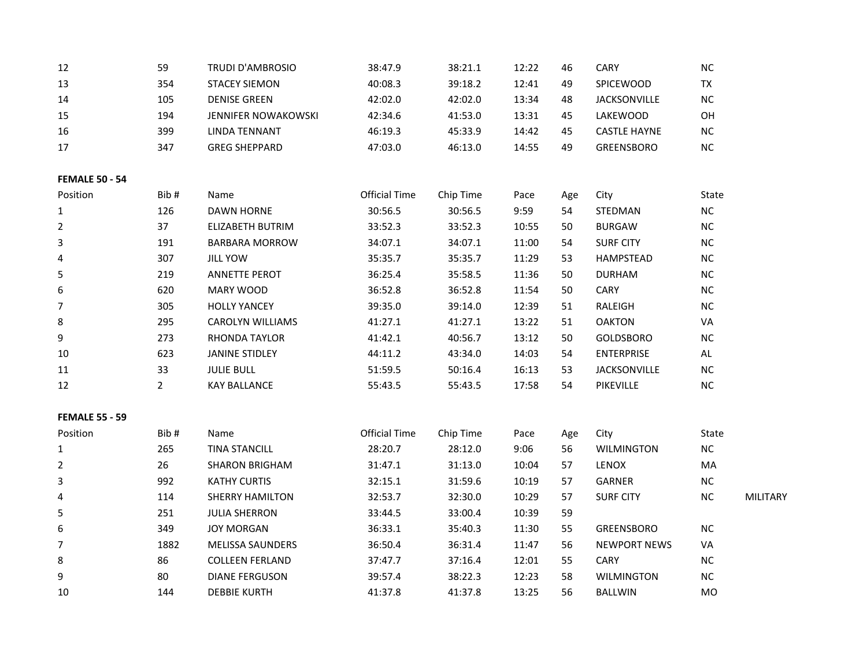| 12                    | 59             | TRUDI D'AMBROSIO           | 38:47.9              | 38:21.1   | 12:22 | 46  | <b>CARY</b>         | $NC$          |                 |
|-----------------------|----------------|----------------------------|----------------------|-----------|-------|-----|---------------------|---------------|-----------------|
| 13                    | 354            | <b>STACEY SIEMON</b>       | 40:08.3              | 39:18.2   | 12:41 | 49  | SPICEWOOD           | TX            |                 |
| 14                    | 105            | <b>DENISE GREEN</b>        | 42:02.0              | 42:02.0   | 13:34 | 48  | <b>JACKSONVILLE</b> | $\sf NC$      |                 |
| 15                    | 194            | <b>JENNIFER NOWAKOWSKI</b> | 42:34.6              | 41:53.0   | 13:31 | 45  | LAKEWOOD            | OH            |                 |
| 16                    | 399            | <b>LINDA TENNANT</b>       | 46:19.3              | 45:33.9   | 14:42 | 45  | <b>CASTLE HAYNE</b> | $NC$          |                 |
| 17                    | 347            | <b>GREG SHEPPARD</b>       | 47:03.0              | 46:13.0   | 14:55 | 49  | <b>GREENSBORO</b>   | $NC$          |                 |
| <b>FEMALE 50 - 54</b> |                |                            |                      |           |       |     |                     |               |                 |
| Position              | Bib#           | Name                       | <b>Official Time</b> | Chip Time | Pace  | Age | City                | State         |                 |
| 1                     | 126            | <b>DAWN HORNE</b>          | 30:56.5              | 30:56.5   | 9:59  | 54  | <b>STEDMAN</b>      | ${\sf NC}$    |                 |
| $\overline{2}$        | 37             | <b>ELIZABETH BUTRIM</b>    | 33:52.3              | 33:52.3   | 10:55 | 50  | <b>BURGAW</b>       | NC            |                 |
| 3                     | 191            | <b>BARBARA MORROW</b>      | 34:07.1              | 34:07.1   | 11:00 | 54  | <b>SURF CITY</b>    | $NC$          |                 |
| 4                     | 307            | <b>JILL YOW</b>            | 35:35.7              | 35:35.7   | 11:29 | 53  | <b>HAMPSTEAD</b>    | $NC$          |                 |
| 5                     | 219            | <b>ANNETTE PEROT</b>       | 36:25.4              | 35:58.5   | 11:36 | 50  | <b>DURHAM</b>       | $NC$          |                 |
| 6                     | 620            | MARY WOOD                  | 36:52.8              | 36:52.8   | 11:54 | 50  | CARY                | $NC$          |                 |
| 7                     | 305            | <b>HOLLY YANCEY</b>        | 39:35.0              | 39:14.0   | 12:39 | 51  | RALEIGH             | $NC$          |                 |
| 8                     | 295            | CAROLYN WILLIAMS           | 41:27.1              | 41:27.1   | 13:22 | 51  | <b>OAKTON</b>       | VA            |                 |
| 9                     | 273            | RHONDA TAYLOR              | 41:42.1              | 40:56.7   | 13:12 | 50  | <b>GOLDSBORO</b>    | $NC$          |                 |
| 10                    | 623            | <b>JANINE STIDLEY</b>      | 44:11.2              | 43:34.0   | 14:03 | 54  | <b>ENTERPRISE</b>   | $\mathsf{AL}$ |                 |
| 11                    | 33             | <b>JULIE BULL</b>          | 51:59.5              | 50:16.4   | 16:13 | 53  | <b>JACKSONVILLE</b> | $\sf NC$      |                 |
| 12                    | $\overline{2}$ | <b>KAY BALLANCE</b>        | 55:43.5              | 55:43.5   | 17:58 | 54  | PIKEVILLE           | ${\sf NC}$    |                 |
| <b>FEMALE 55 - 59</b> |                |                            |                      |           |       |     |                     |               |                 |
| Position              | Bib#           | Name                       | <b>Official Time</b> | Chip Time | Pace  | Age | City                | State         |                 |
| $\mathbf{1}$          | 265            | <b>TINA STANCILL</b>       | 28:20.7              | 28:12.0   | 9:06  | 56  | <b>WILMINGTON</b>   | $\sf NC$      |                 |
| $\overline{2}$        | 26             | <b>SHARON BRIGHAM</b>      | 31:47.1              | 31:13.0   | 10:04 | 57  | LENOX               | MA            |                 |
| 3                     | 992            | <b>KATHY CURTIS</b>        | 32:15.1              | 31:59.6   | 10:19 | 57  | GARNER              | $NC$          |                 |
| 4                     | 114            | <b>SHERRY HAMILTON</b>     | 32:53.7              | 32:30.0   | 10:29 | 57  | <b>SURF CITY</b>    | $\sf NC$      | <b>MILITARY</b> |
| 5                     | 251            | <b>JULIA SHERRON</b>       | 33:44.5              | 33:00.4   | 10:39 | 59  |                     |               |                 |
| 6                     | 349            | <b>JOY MORGAN</b>          | 36:33.1              | 35:40.3   | 11:30 | 55  | GREENSBORO          | $NC$          |                 |
| $\overline{7}$        | 1882           | MELISSA SAUNDERS           | 36:50.4              | 36:31.4   | 11:47 | 56  | <b>NEWPORT NEWS</b> | VA            |                 |
| 8                     | 86             | <b>COLLEEN FERLAND</b>     | 37:47.7              | 37:16.4   | 12:01 | 55  | CARY                | ${\sf NC}$    |                 |
| 9                     | 80             | <b>DIANE FERGUSON</b>      | 39:57.4              | 38:22.3   | 12:23 | 58  | <b>WILMINGTON</b>   | ${\sf NC}$    |                 |
| 10                    | 144            | <b>DEBBIE KURTH</b>        | 41:37.8              | 41:37.8   | 13:25 | 56  | <b>BALLWIN</b>      | MO            |                 |
|                       |                |                            |                      |           |       |     |                     |               |                 |